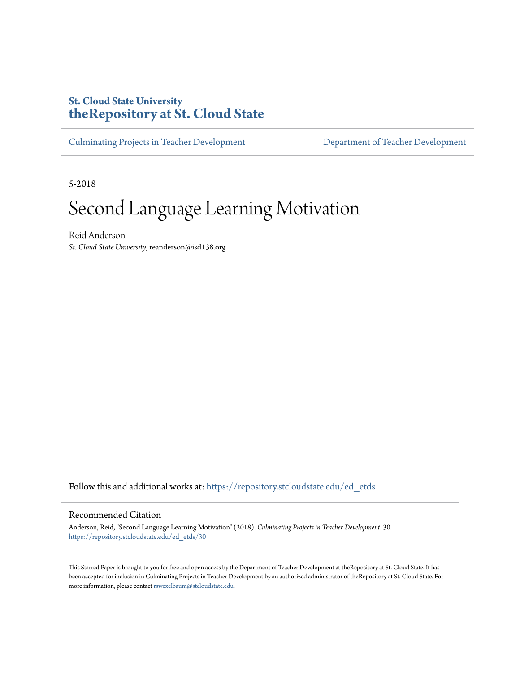# **St. Cloud State University [theRepository at St. Cloud State](https://repository.stcloudstate.edu?utm_source=repository.stcloudstate.edu%2Fed_etds%2F30&utm_medium=PDF&utm_campaign=PDFCoverPages)**

[Culminating Projects in Teacher Development](https://repository.stcloudstate.edu/ed_etds?utm_source=repository.stcloudstate.edu%2Fed_etds%2F30&utm_medium=PDF&utm_campaign=PDFCoverPages) [Department of Teacher Development](https://repository.stcloudstate.edu/ed?utm_source=repository.stcloudstate.edu%2Fed_etds%2F30&utm_medium=PDF&utm_campaign=PDFCoverPages)

5-2018

# Second Language Learning Motivation

Reid Anderson *St. Cloud State University*, reanderson@isd138.org

Follow this and additional works at: [https://repository.stcloudstate.edu/ed\\_etds](https://repository.stcloudstate.edu/ed_etds?utm_source=repository.stcloudstate.edu%2Fed_etds%2F30&utm_medium=PDF&utm_campaign=PDFCoverPages)

#### Recommended Citation

Anderson, Reid, "Second Language Learning Motivation" (2018). *Culminating Projects in Teacher Development*. 30. [https://repository.stcloudstate.edu/ed\\_etds/30](https://repository.stcloudstate.edu/ed_etds/30?utm_source=repository.stcloudstate.edu%2Fed_etds%2F30&utm_medium=PDF&utm_campaign=PDFCoverPages)

This Starred Paper is brought to you for free and open access by the Department of Teacher Development at theRepository at St. Cloud State. It has been accepted for inclusion in Culminating Projects in Teacher Development by an authorized administrator of theRepository at St. Cloud State. For more information, please contact [rswexelbaum@stcloudstate.edu](mailto:rswexelbaum@stcloudstate.edu).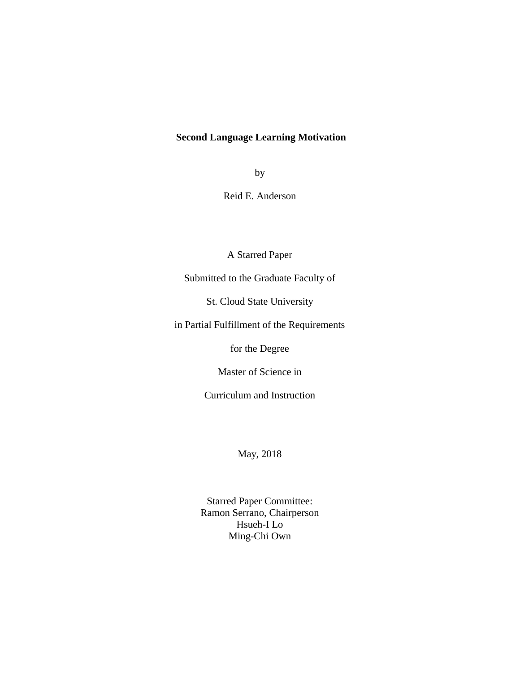# **Second Language Learning Motivation**

by

Reid E. Anderson

A Starred Paper

Submitted to the Graduate Faculty of

St. Cloud State University

in Partial Fulfillment of the Requirements

for the Degree

Master of Science in

Curriculum and Instruction

May, 2018

Starred Paper Committee: Ramon Serrano, Chairperson Hsueh-I Lo Ming-Chi Own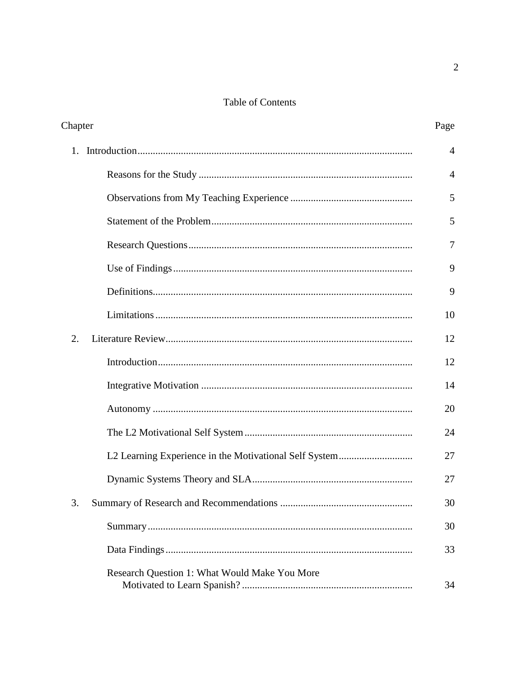# Table of Contents

| Chapter                                       | Page           |
|-----------------------------------------------|----------------|
| 1.                                            | $\overline{4}$ |
|                                               | 4              |
|                                               | 5              |
|                                               | 5              |
|                                               | $\overline{7}$ |
|                                               | 9              |
|                                               | 9              |
|                                               | 10             |
| 2.                                            | 12             |
|                                               | 12             |
|                                               | 14             |
|                                               | 20             |
|                                               | 24             |
|                                               | 27             |
|                                               | 27             |
|                                               | 30             |
|                                               | 30             |
|                                               | 33             |
| Research Question 1: What Would Make You More | 34             |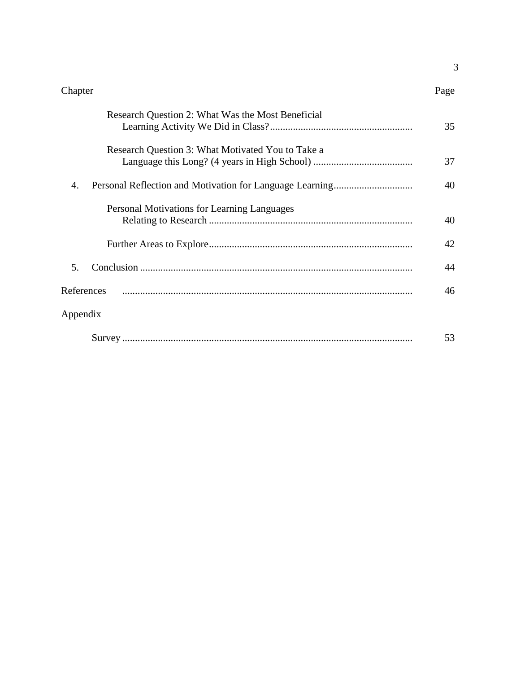#### Chapter Page

3

| Research Question 2: What Was the Most Beneficial | 35 |
|---------------------------------------------------|----|
| Research Question 3: What Motivated You to Take a | 37 |
| 4.                                                | 40 |
| Personal Motivations for Learning Languages       | 40 |
|                                                   | 42 |
| 5.                                                | 44 |
| References                                        | 46 |
| Appendix                                          |    |
|                                                   | 53 |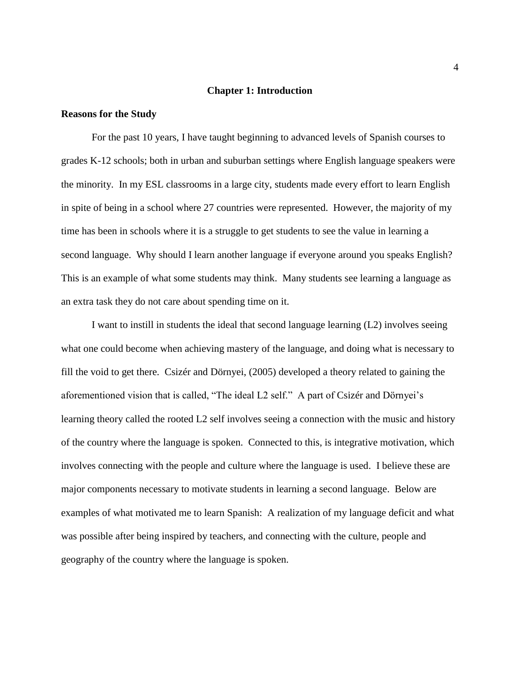#### **Chapter 1: Introduction**

#### **Reasons for the Study**

For the past 10 years, I have taught beginning to advanced levels of Spanish courses to grades K-12 schools; both in urban and suburban settings where English language speakers were the minority. In my ESL classrooms in a large city, students made every effort to learn English in spite of being in a school where 27 countries were represented. However, the majority of my time has been in schools where it is a struggle to get students to see the value in learning a second language. Why should I learn another language if everyone around you speaks English? This is an example of what some students may think. Many students see learning a language as an extra task they do not care about spending time on it.

I want to instill in students the ideal that second language learning (L2) involves seeing what one could become when achieving mastery of the language, and doing what is necessary to fill the void to get there. Csizér and Dörnyei, (2005) developed a theory related to gaining the aforementioned vision that is called, "The ideal L2 self." A part of Csizér and Dörnyei's learning theory called the rooted L2 self involves seeing a connection with the music and history of the country where the language is spoken. Connected to this, is integrative motivation, which involves connecting with the people and culture where the language is used. I believe these are major components necessary to motivate students in learning a second language. Below are examples of what motivated me to learn Spanish: A realization of my language deficit and what was possible after being inspired by teachers, and connecting with the culture, people and geography of the country where the language is spoken.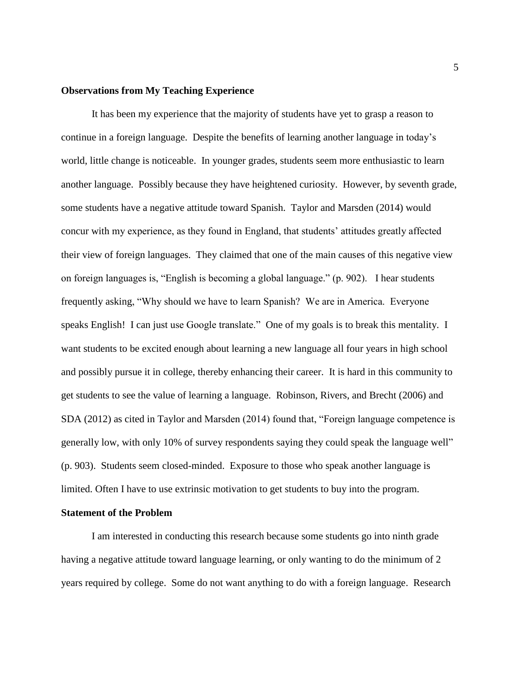#### **Observations from My Teaching Experience**

It has been my experience that the majority of students have yet to grasp a reason to continue in a foreign language. Despite the benefits of learning another language in today's world, little change is noticeable. In younger grades, students seem more enthusiastic to learn another language. Possibly because they have heightened curiosity. However, by seventh grade, some students have a negative attitude toward Spanish. Taylor and Marsden (2014) would concur with my experience, as they found in England, that students' attitudes greatly affected their view of foreign languages. They claimed that one of the main causes of this negative view on foreign languages is, "English is becoming a global language." (p. 902). I hear students frequently asking, "Why should we have to learn Spanish? We are in America. Everyone speaks English! I can just use Google translate." One of my goals is to break this mentality. I want students to be excited enough about learning a new language all four years in high school and possibly pursue it in college, thereby enhancing their career. It is hard in this community to get students to see the value of learning a language. Robinson, Rivers, and Brecht (2006) and SDA (2012) as cited in Taylor and Marsden (2014) found that, "Foreign language competence is generally low, with only 10% of survey respondents saying they could speak the language well" (p. 903). Students seem closed-minded. Exposure to those who speak another language is limited. Often I have to use extrinsic motivation to get students to buy into the program.

#### **Statement of the Problem**

I am interested in conducting this research because some students go into ninth grade having a negative attitude toward language learning, or only wanting to do the minimum of 2 years required by college. Some do not want anything to do with a foreign language. Research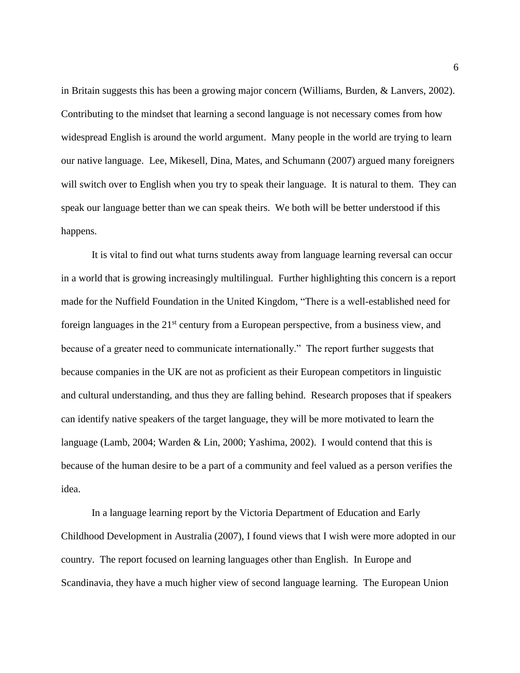in Britain suggests this has been a growing major concern (Williams, Burden, & Lanvers, 2002). Contributing to the mindset that learning a second language is not necessary comes from how widespread English is around the world argument. Many people in the world are trying to learn our native language. Lee, Mikesell, Dina, Mates, and Schumann (2007) argued many foreigners will switch over to English when you try to speak their language. It is natural to them. They can speak our language better than we can speak theirs. We both will be better understood if this happens.

It is vital to find out what turns students away from language learning reversal can occur in a world that is growing increasingly multilingual. Further highlighting this concern is a report made for the Nuffield Foundation in the United Kingdom, "There is a well-established need for foreign languages in the  $21<sup>st</sup>$  century from a European perspective, from a business view, and because of a greater need to communicate internationally." The report further suggests that because companies in the UK are not as proficient as their European competitors in linguistic and cultural understanding, and thus they are falling behind. Research proposes that if speakers can identify native speakers of the target language, they will be more motivated to learn the language (Lamb, 2004; Warden & Lin, 2000; Yashima, 2002). I would contend that this is because of the human desire to be a part of a community and feel valued as a person verifies the idea.

In a language learning report by the Victoria Department of Education and Early Childhood Development in Australia (2007), I found views that I wish were more adopted in our country. The report focused on learning languages other than English. In Europe and Scandinavia, they have a much higher view of second language learning. The European Union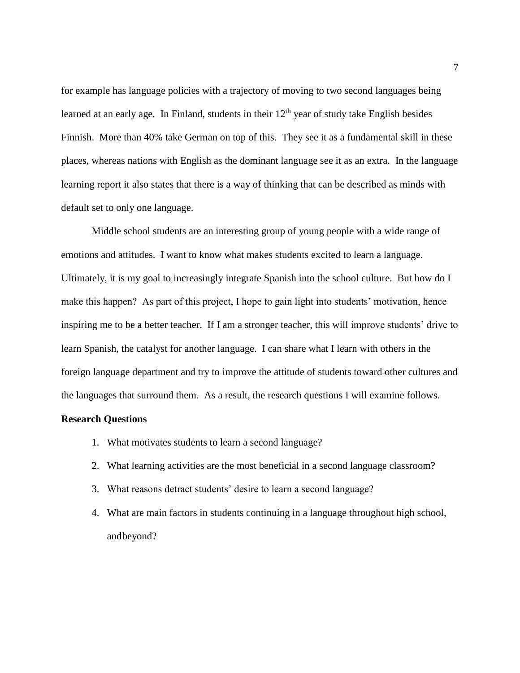for example has language policies with a trajectory of moving to two second languages being learned at an early age. In Finland, students in their  $12<sup>th</sup>$  year of study take English besides Finnish. More than 40% take German on top of this. They see it as a fundamental skill in these places, whereas nations with English as the dominant language see it as an extra. In the language learning report it also states that there is a way of thinking that can be described as minds with default set to only one language.

Middle school students are an interesting group of young people with a wide range of emotions and attitudes. I want to know what makes students excited to learn a language. Ultimately, it is my goal to increasingly integrate Spanish into the school culture. But how do I make this happen? As part of this project, I hope to gain light into students' motivation, hence inspiring me to be a better teacher. If I am a stronger teacher, this will improve students' drive to learn Spanish, the catalyst for another language. I can share what I learn with others in the foreign language department and try to improve the attitude of students toward other cultures and the languages that surround them. As a result, the research questions I will examine follows.

#### **Research Questions**

- 1. What motivates students to learn a second language?
- 2. What learning activities are the most beneficial in a second language classroom?
- 3. What reasons detract students' desire to learn a second language?
- 4. What are main factors in students continuing in a language throughout high school, andbeyond?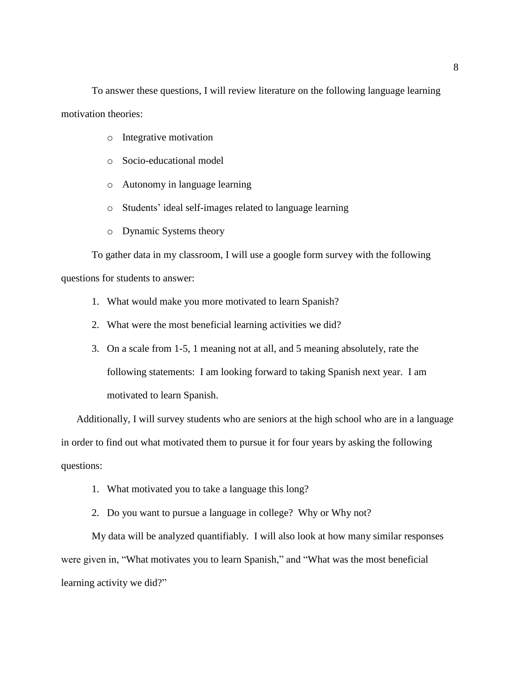To answer these questions, I will review literature on the following language learning motivation theories:

- o Integrative motivation
- o Socio-educational model
- o Autonomy in language learning
- o Students' ideal self-images related to language learning
- o Dynamic Systems theory

To gather data in my classroom, I will use a google form survey with the following questions for students to answer:

- 1. What would make you more motivated to learn Spanish?
- 2. What were the most beneficial learning activities we did?
- 3. On a scale from 1-5, 1 meaning not at all, and 5 meaning absolutely, rate the following statements: I am looking forward to taking Spanish next year. I am motivated to learn Spanish.

Additionally, I will survey students who are seniors at the high school who are in a language in order to find out what motivated them to pursue it for four years by asking the following questions:

- 1. What motivated you to take a language this long?
- 2. Do you want to pursue a language in college? Why or Why not?

My data will be analyzed quantifiably. I will also look at how many similar responses were given in, "What motivates you to learn Spanish," and "What was the most beneficial learning activity we did?"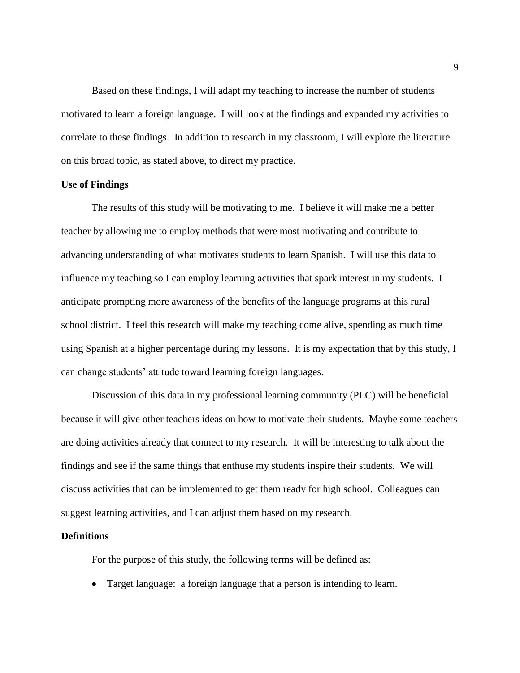Based on these findings, I will adapt my teaching to increase the number of students motivated to learn a foreign language. I will look at the findings and expanded my activities to correlate to these findings. In addition to research in my classroom, I will explore the literature on this broad topic, as stated above, to direct my practice.

#### **Use of Findings**

The results of this study will be motivating to me. I believe it will make me a better teacher by allowing me to employ methods that were most motivating and contribute to advancing understanding of what motivates students to learn Spanish. I will use this data to influence my teaching so I can employ learning activities that spark interest in my students. I anticipate prompting more awareness of the benefits of the language programs at this rural school district. I feel this research will make my teaching come alive, spending as much time using Spanish at a higher percentage during my lessons. It is my expectation that by this study, I can change students' attitude toward learning foreign languages.

Discussion of this data in my professional learning community (PLC) will be beneficial because it will give other teachers ideas on how to motivate their students. Maybe some teachers are doing activities already that connect to my research. It will be interesting to talk about the findings and see if the same things that enthuse my students inspire their students. We will discuss activities that can be implemented to get them ready for high school. Colleagues can suggest learning activities, and I can adjust them based on my research.

#### **Definitions**

For the purpose of this study, the following terms will be defined as:

• Target language: a foreign language that a person is intending to learn.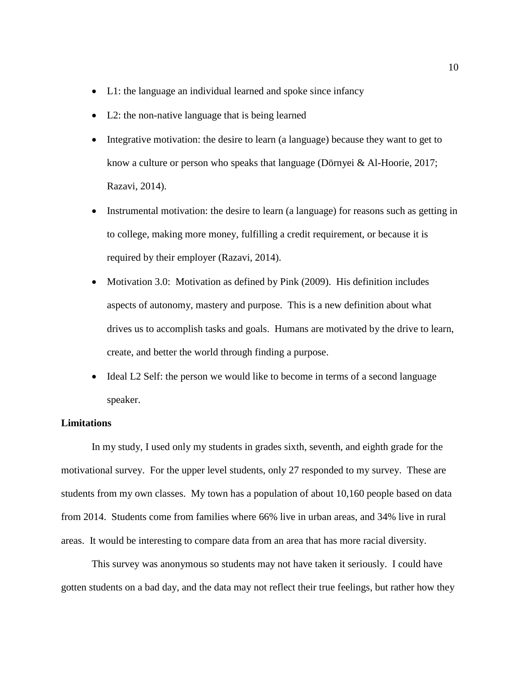- L1: the language an individual learned and spoke since infancy
- L2: the non-native language that is being learned
- Integrative motivation: the desire to learn (a language) because they want to get to know a culture or person who speaks that language (Dörnyei & Al-Hoorie, 2017; Razavi, 2014).
- Instrumental motivation: the desire to learn (a language) for reasons such as getting in to college, making more money, fulfilling a credit requirement, or because it is required by their employer (Razavi, 2014).
- Motivation 3.0: Motivation as defined by Pink (2009). His definition includes aspects of autonomy, mastery and purpose. This is a new definition about what drives us to accomplish tasks and goals. Humans are motivated by the drive to learn, create, and better the world through finding a purpose.
- Ideal L2 Self: the person we would like to become in terms of a second language speaker.

#### **Limitations**

In my study, I used only my students in grades sixth, seventh, and eighth grade for the motivational survey. For the upper level students, only 27 responded to my survey. These are students from my own classes. My town has a population of about 10,160 people based on data from 2014. Students come from families where 66% live in urban areas, and 34% live in rural areas. It would be interesting to compare data from an area that has more racial diversity.

This survey was anonymous so students may not have taken it seriously. I could have gotten students on a bad day, and the data may not reflect their true feelings, but rather how they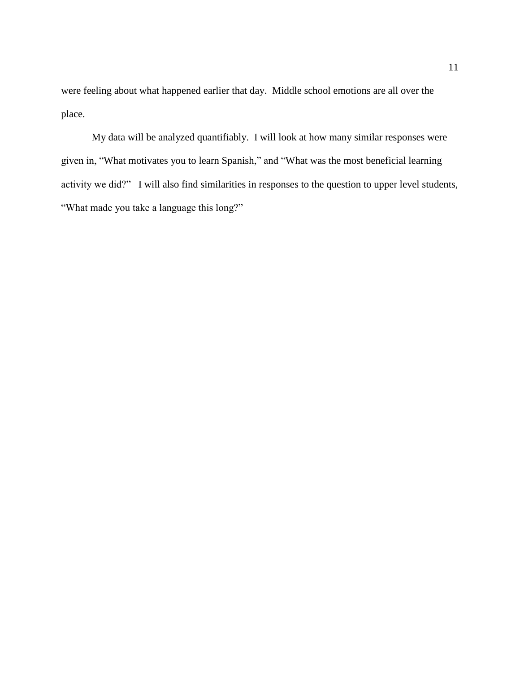were feeling about what happened earlier that day. Middle school emotions are all over the place.

My data will be analyzed quantifiably. I will look at how many similar responses were given in, "What motivates you to learn Spanish," and "What was the most beneficial learning activity we did?" I will also find similarities in responses to the question to upper level students, "What made you take a language this long?"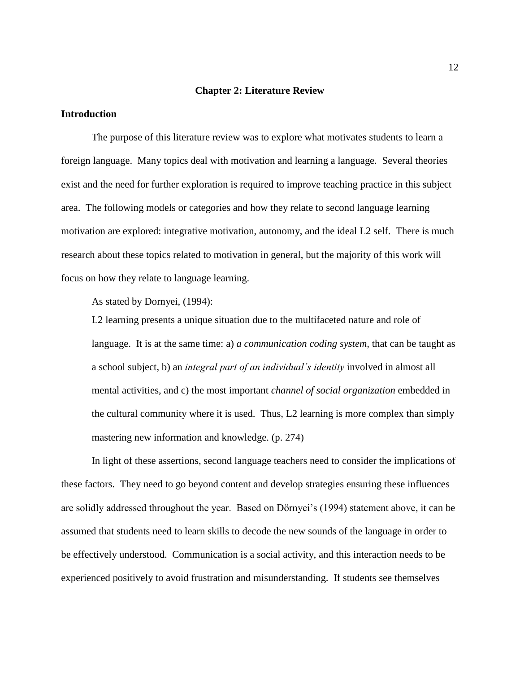#### **Chapter 2: Literature Review**

## **Introduction**

The purpose of this literature review was to explore what motivates students to learn a foreign language. Many topics deal with motivation and learning a language. Several theories exist and the need for further exploration is required to improve teaching practice in this subject area. The following models or categories and how they relate to second language learning motivation are explored: integrative motivation, autonomy, and the ideal L2 self. There is much research about these topics related to motivation in general, but the majority of this work will focus on how they relate to language learning.

As stated by Dornyei, (1994):

L2 learning presents a unique situation due to the multifaceted nature and role of language. It is at the same time: a) *a communication coding system,* that can be taught as a school subject, b) an *integral part of an individual's identity* involved in almost all mental activities, and c) the most important *channel of social organization* embedded in the cultural community where it is used. Thus, L2 learning is more complex than simply mastering new information and knowledge. (p. 274)

In light of these assertions, second language teachers need to consider the implications of these factors. They need to go beyond content and develop strategies ensuring these influences are solidly addressed throughout the year. Based on Dörnyei's (1994) statement above, it can be assumed that students need to learn skills to decode the new sounds of the language in order to be effectively understood. Communication is a social activity, and this interaction needs to be experienced positively to avoid frustration and misunderstanding. If students see themselves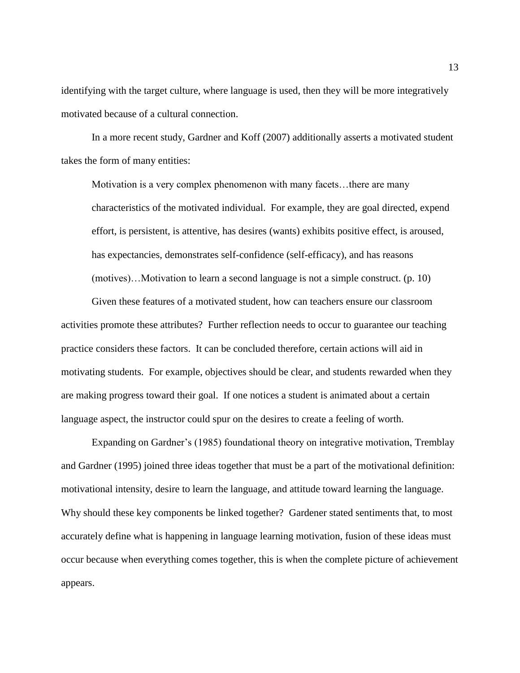identifying with the target culture, where language is used, then they will be more integratively motivated because of a cultural connection.

In a more recent study, Gardner and Koff (2007) additionally asserts a motivated student takes the form of many entities:

Motivation is a very complex phenomenon with many facets…there are many characteristics of the motivated individual. For example, they are goal directed, expend effort, is persistent, is attentive, has desires (wants) exhibits positive effect, is aroused, has expectancies, demonstrates self-confidence (self-efficacy), and has reasons (motives)…Motivation to learn a second language is not a simple construct. (p. 10)

Given these features of a motivated student, how can teachers ensure our classroom activities promote these attributes? Further reflection needs to occur to guarantee our teaching practice considers these factors. It can be concluded therefore, certain actions will aid in motivating students. For example, objectives should be clear, and students rewarded when they are making progress toward their goal. If one notices a student is animated about a certain language aspect, the instructor could spur on the desires to create a feeling of worth.

Expanding on Gardner's (1985) foundational theory on integrative motivation, Tremblay and Gardner (1995) joined three ideas together that must be a part of the motivational definition: motivational intensity, desire to learn the language, and attitude toward learning the language. Why should these key components be linked together? Gardener stated sentiments that, to most accurately define what is happening in language learning motivation, fusion of these ideas must occur because when everything comes together, this is when the complete picture of achievement appears.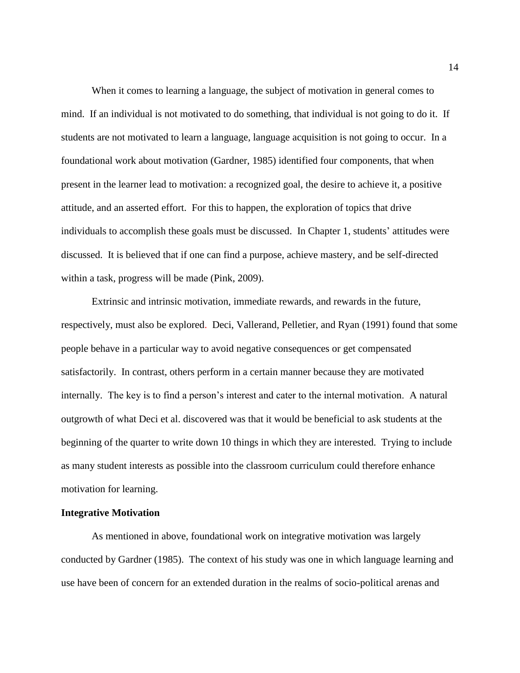When it comes to learning a language, the subject of motivation in general comes to mind. If an individual is not motivated to do something, that individual is not going to do it. If students are not motivated to learn a language, language acquisition is not going to occur. In a foundational work about motivation (Gardner, 1985) identified four components, that when present in the learner lead to motivation: a recognized goal, the desire to achieve it, a positive attitude, and an asserted effort. For this to happen, the exploration of topics that drive individuals to accomplish these goals must be discussed. In Chapter 1, students' attitudes were discussed. It is believed that if one can find a purpose, achieve mastery, and be self-directed within a task, progress will be made (Pink, 2009).

Extrinsic and intrinsic motivation, immediate rewards, and rewards in the future, respectively, must also be explored. Deci, Vallerand, Pelletier, and Ryan (1991) found that some people behave in a particular way to avoid negative consequences or get compensated satisfactorily. In contrast, others perform in a certain manner because they are motivated internally. The key is to find a person's interest and cater to the internal motivation. A natural outgrowth of what Deci et al. discovered was that it would be beneficial to ask students at the beginning of the quarter to write down 10 things in which they are interested. Trying to include as many student interests as possible into the classroom curriculum could therefore enhance motivation for learning.

#### **Integrative Motivation**

As mentioned in above, foundational work on integrative motivation was largely conducted by Gardner (1985). The context of his study was one in which language learning and use have been of concern for an extended duration in the realms of socio-political arenas and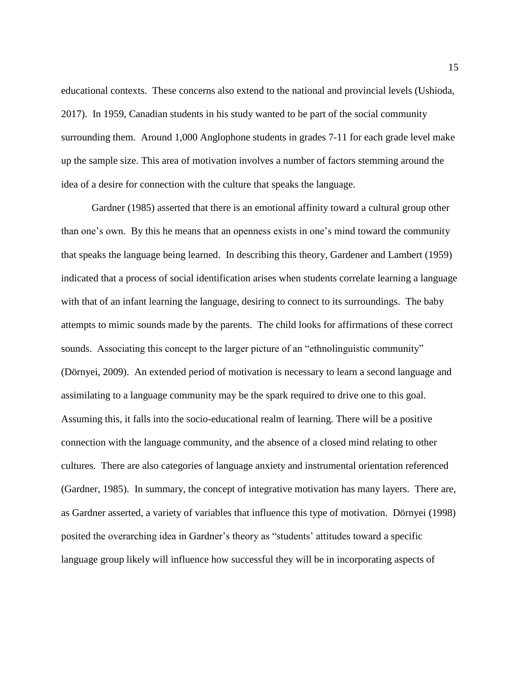educational contexts. These concerns also extend to the national and provincial levels (Ushioda, 2017). In 1959, Canadian students in his study wanted to be part of the social community surrounding them. Around 1,000 Anglophone students in grades 7-11 for each grade level make up the sample size. This area of motivation involves a number of factors stemming around the idea of a desire for connection with the culture that speaks the language.

Gardner (1985) asserted that there is an emotional affinity toward a cultural group other than one's own. By this he means that an openness exists in one's mind toward the community that speaks the language being learned. In describing this theory, Gardener and Lambert (1959) indicated that a process of social identification arises when students correlate learning a language with that of an infant learning the language, desiring to connect to its surroundings. The baby attempts to mimic sounds made by the parents. The child looks for affirmations of these correct sounds. Associating this concept to the larger picture of an "ethnolinguistic community" (Dörnyei, 2009). An extended period of motivation is necessary to learn a second language and assimilating to a language community may be the spark required to drive one to this goal. Assuming this, it falls into the socio-educational realm of learning. There will be a positive connection with the language community, and the absence of a closed mind relating to other cultures. There are also categories of language anxiety and instrumental orientation referenced (Gardner, 1985). In summary, the concept of integrative motivation has many layers. There are, as Gardner asserted, a variety of variables that influence this type of motivation. Dörnyei (1998) posited the overarching idea in Gardner's theory as "students' attitudes toward a specific language group likely will influence how successful they will be in incorporating aspects of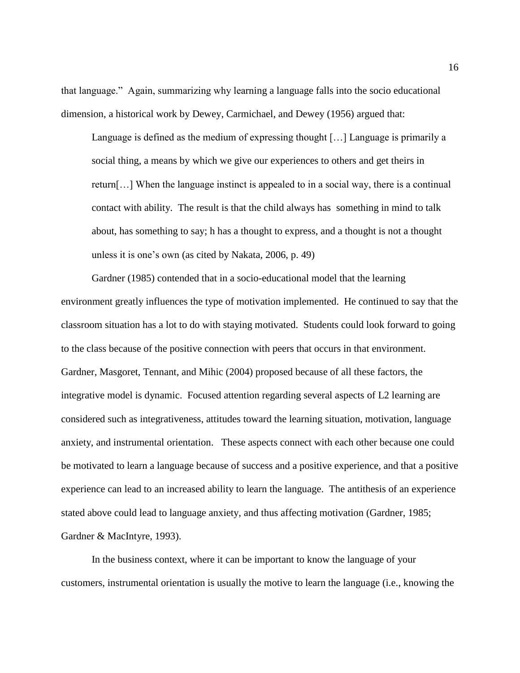that language." Again, summarizing why learning a language falls into the socio educational dimension, a historical work by Dewey, Carmichael, and Dewey (1956) argued that:

Language is defined as the medium of expressing thought […] Language is primarily a social thing, a means by which we give our experiences to others and get theirs in return[…] When the language instinct is appealed to in a social way, there is a continual contact with ability. The result is that the child always has something in mind to talk about, has something to say; h has a thought to express, and a thought is not a thought unless it is one's own (as cited by Nakata, 2006, p. 49)

Gardner (1985) contended that in a socio-educational model that the learning environment greatly influences the type of motivation implemented. He continued to say that the classroom situation has a lot to do with staying motivated. Students could look forward to going to the class because of the positive connection with peers that occurs in that environment. Gardner, Masgoret, Tennant, and Mihic (2004) proposed because of all these factors, the integrative model is dynamic. Focused attention regarding several aspects of L2 learning are considered such as integrativeness, attitudes toward the learning situation, motivation, language anxiety, and instrumental orientation. These aspects connect with each other because one could be motivated to learn a language because of success and a positive experience, and that a positive experience can lead to an increased ability to learn the language. The antithesis of an experience stated above could lead to language anxiety, and thus affecting motivation (Gardner, 1985; Gardner & MacIntyre, 1993).

In the business context, where it can be important to know the language of your customers, instrumental orientation is usually the motive to learn the language (i.e., knowing the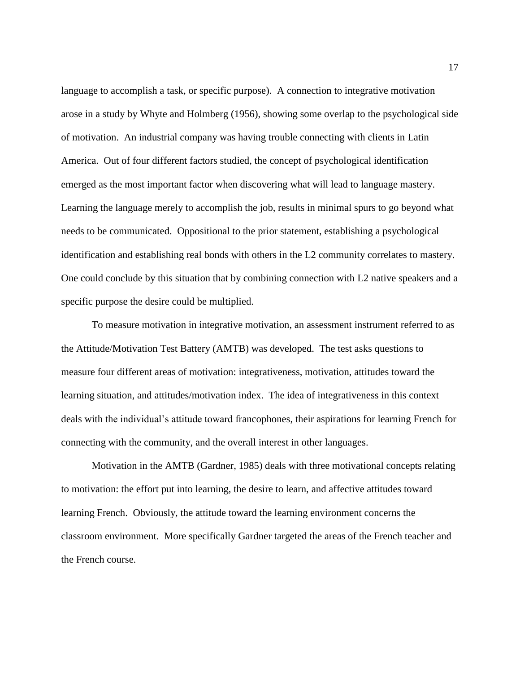language to accomplish a task, or specific purpose). A connection to integrative motivation arose in a study by Whyte and Holmberg (1956), showing some overlap to the psychological side of motivation. An industrial company was having trouble connecting with clients in Latin America. Out of four different factors studied, the concept of psychological identification emerged as the most important factor when discovering what will lead to language mastery. Learning the language merely to accomplish the job, results in minimal spurs to go beyond what needs to be communicated. Oppositional to the prior statement, establishing a psychological identification and establishing real bonds with others in the L2 community correlates to mastery. One could conclude by this situation that by combining connection with L2 native speakers and a specific purpose the desire could be multiplied.

To measure motivation in integrative motivation, an assessment instrument referred to as the Attitude/Motivation Test Battery (AMTB) was developed. The test asks questions to measure four different areas of motivation: integrativeness, motivation, attitudes toward the learning situation, and attitudes/motivation index. The idea of integrativeness in this context deals with the individual's attitude toward francophones, their aspirations for learning French for connecting with the community, and the overall interest in other languages.

Motivation in the AMTB (Gardner, 1985) deals with three motivational concepts relating to motivation: the effort put into learning, the desire to learn, and affective attitudes toward learning French. Obviously, the attitude toward the learning environment concerns the classroom environment. More specifically Gardner targeted the areas of the French teacher and the French course.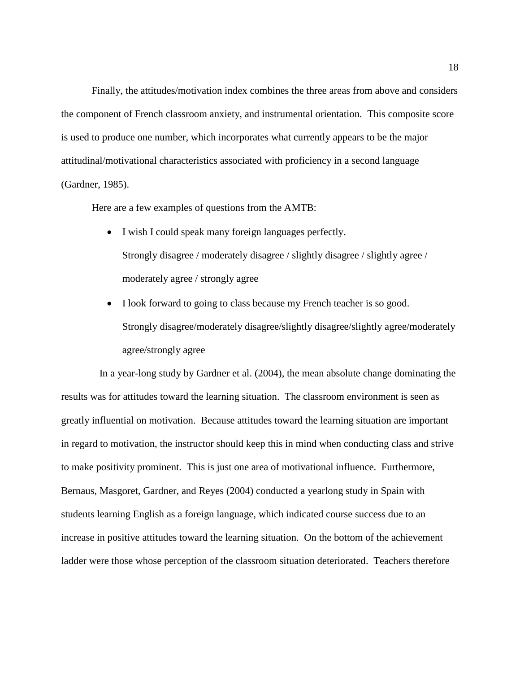Finally, the attitudes/motivation index combines the three areas from above and considers the component of French classroom anxiety, and instrumental orientation. This composite score is used to produce one number, which incorporates what currently appears to be the major attitudinal/motivational characteristics associated with proficiency in a second language (Gardner, 1985).

Here are a few examples of questions from the AMTB:

- I wish I could speak many foreign languages perfectly. Strongly disagree / moderately disagree / slightly disagree / slightly agree / moderately agree / strongly agree
- I look forward to going to class because my French teacher is so good. Strongly disagree/moderately disagree/slightly disagree/slightly agree/moderately agree/strongly agree

 In a year-long study by Gardner et al. (2004), the mean absolute change dominating the results was for attitudes toward the learning situation. The classroom environment is seen as greatly influential on motivation. Because attitudes toward the learning situation are important in regard to motivation, the instructor should keep this in mind when conducting class and strive to make positivity prominent. This is just one area of motivational influence. Furthermore, Bernaus, Masgoret, Gardner, and Reyes (2004) conducted a yearlong study in Spain with students learning English as a foreign language, which indicated course success due to an increase in positive attitudes toward the learning situation. On the bottom of the achievement ladder were those whose perception of the classroom situation deteriorated. Teachers therefore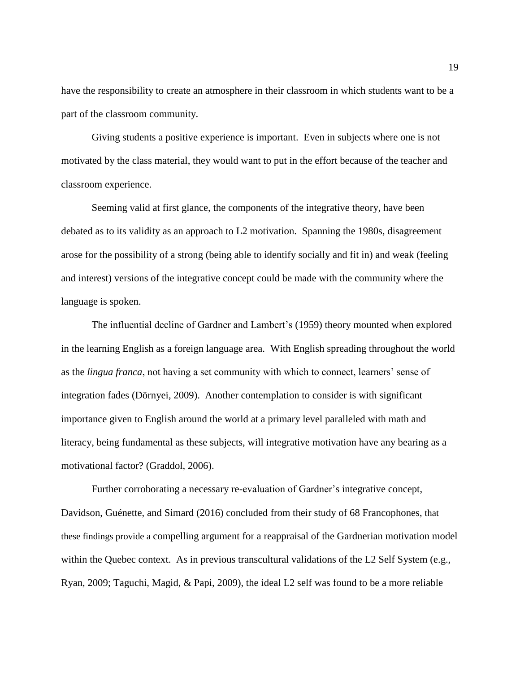have the responsibility to create an atmosphere in their classroom in which students want to be a part of the classroom community.

Giving students a positive experience is important. Even in subjects where one is not motivated by the class material, they would want to put in the effort because of the teacher and classroom experience.

Seeming valid at first glance, the components of the integrative theory, have been debated as to its validity as an approach to L2 motivation. Spanning the 1980s, disagreement arose for the possibility of a strong (being able to identify socially and fit in) and weak (feeling and interest) versions of the integrative concept could be made with the community where the language is spoken.

The influential decline of Gardner and Lambert's (1959) theory mounted when explored in the learning English as a foreign language area. With English spreading throughout the world as the *lingua franca*, not having a set community with which to connect, learners' sense of integration fades (Dörnyei, 2009). Another contemplation to consider is with significant importance given to English around the world at a primary level paralleled with math and literacy, being fundamental as these subjects, will integrative motivation have any bearing as a motivational factor? (Graddol, 2006).

Further corroborating a necessary re-evaluation of Gardner's integrative concept, Davidson, Guénette, and Simard (2016) concluded from their study of 68 Francophones, that these findings provide a compelling argument for a reappraisal of the Gardnerian motivation model within the Quebec context. As in previous transcultural validations of the L2 Self System (e.g., Ryan, 2009; Taguchi, Magid, & Papi, 2009), the ideal L2 self was found to be a more reliable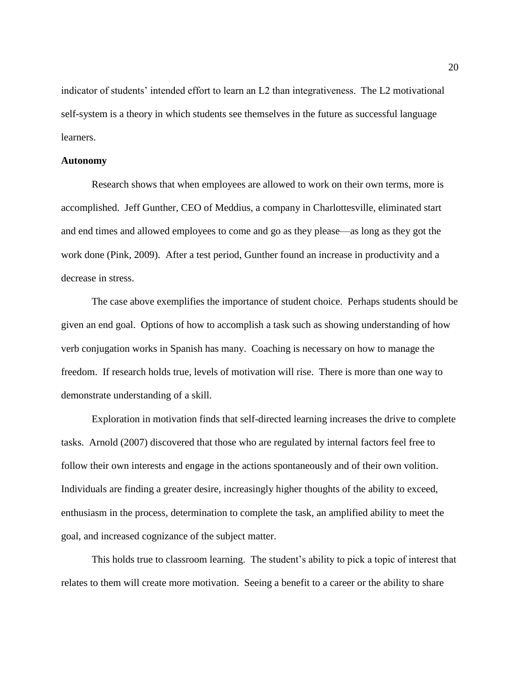indicator of students' intended effort to learn an L2 than integrativeness. The L2 motivational self-system is a theory in which students see themselves in the future as successful language learners.

#### **Autonomy**

Research shows that when employees are allowed to work on their own terms, more is accomplished. Jeff Gunther, CEO of Meddius, a company in Charlottesville, eliminated start and end times and allowed employees to come and go as they please—as long as they got the work done (Pink, 2009). After a test period, Gunther found an increase in productivity and a decrease in stress.

The case above exemplifies the importance of student choice. Perhaps students should be given an end goal. Options of how to accomplish a task such as showing understanding of how verb conjugation works in Spanish has many. Coaching is necessary on how to manage the freedom. If research holds true, levels of motivation will rise. There is more than one way to demonstrate understanding of a skill.

Exploration in motivation finds that self-directed learning increases the drive to complete tasks. Arnold (2007) discovered that those who are regulated by internal factors feel free to follow their own interests and engage in the actions spontaneously and of their own volition. Individuals are finding a greater desire, increasingly higher thoughts of the ability to exceed, enthusiasm in the process, determination to complete the task, an amplified ability to meet the goal, and increased cognizance of the subject matter.

This holds true to classroom learning. The student's ability to pick a topic of interest that relates to them will create more motivation. Seeing a benefit to a career or the ability to share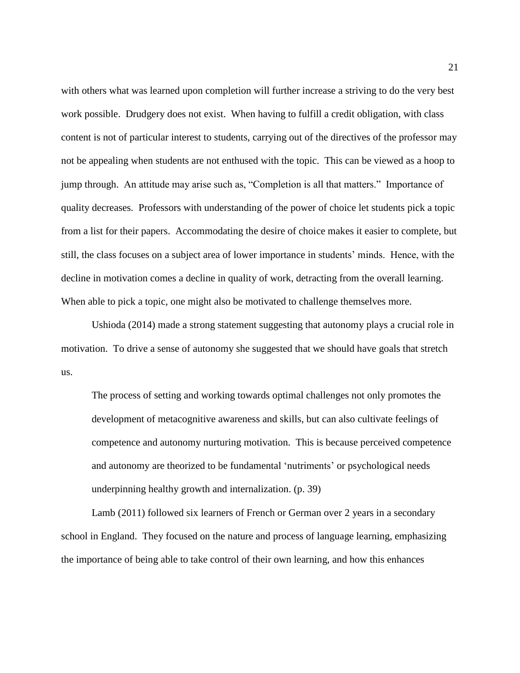with others what was learned upon completion will further increase a striving to do the very best work possible. Drudgery does not exist. When having to fulfill a credit obligation, with class content is not of particular interest to students, carrying out of the directives of the professor may not be appealing when students are not enthused with the topic. This can be viewed as a hoop to jump through. An attitude may arise such as, "Completion is all that matters." Importance of quality decreases. Professors with understanding of the power of choice let students pick a topic from a list for their papers. Accommodating the desire of choice makes it easier to complete, but still, the class focuses on a subject area of lower importance in students' minds. Hence, with the decline in motivation comes a decline in quality of work, detracting from the overall learning. When able to pick a topic, one might also be motivated to challenge themselves more.

Ushioda (2014) made a strong statement suggesting that autonomy plays a crucial role in motivation. To drive a sense of autonomy she suggested that we should have goals that stretch us.

The process of setting and working towards optimal challenges not only promotes the development of metacognitive awareness and skills, but can also cultivate feelings of competence and autonomy nurturing motivation. This is because perceived competence and autonomy are theorized to be fundamental 'nutriments' or psychological needs underpinning healthy growth and internalization. (p. 39)

Lamb (2011) followed six learners of French or German over 2 years in a secondary school in England. They focused on the nature and process of language learning, emphasizing the importance of being able to take control of their own learning, and how this enhances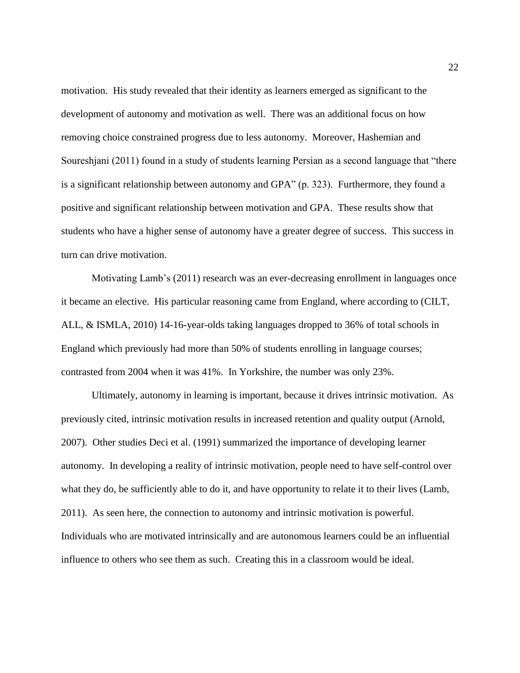motivation. His study revealed that their identity as learners emerged as significant to the development of autonomy and motivation as well. There was an additional focus on how removing choice constrained progress due to less autonomy. Moreover, Hashemian and Soureshjani (2011) found in a study of students learning Persian as a second language that "there is a significant relationship between autonomy and GPA" (p. 323). Furthermore, they found a positive and significant relationship between motivation and GPA. These results show that students who have a higher sense of autonomy have a greater degree of success. This success in turn can drive motivation.

Motivating Lamb's (2011) research was an ever-decreasing enrollment in languages once it became an elective. His particular reasoning came from England, where according to (CILT, ALL, & ISMLA, 2010) 14-16-year-olds taking languages dropped to 36% of total schools in England which previously had more than 50% of students enrolling in language courses; contrasted from 2004 when it was 41%. In Yorkshire, the number was only 23%.

Ultimately, autonomy in learning is important, because it drives intrinsic motivation. As previously cited, intrinsic motivation results in increased retention and quality output (Arnold, 2007). Other studies Deci et al. (1991) summarized the importance of developing learner autonomy. In developing a reality of intrinsic motivation, people need to have self-control over what they do, be sufficiently able to do it, and have opportunity to relate it to their lives (Lamb, 2011). As seen here, the connection to autonomy and intrinsic motivation is powerful. Individuals who are motivated intrinsically and are autonomous learners could be an influential influence to others who see them as such. Creating this in a classroom would be ideal.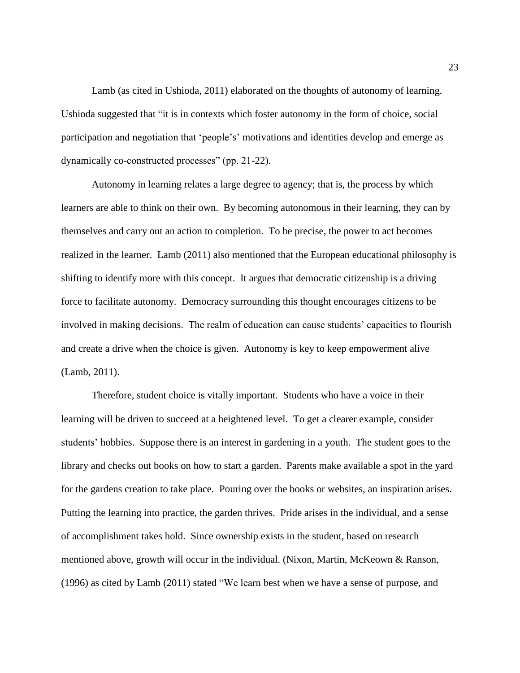Lamb (as cited in Ushioda, 2011) elaborated on the thoughts of autonomy of learning. Ushioda suggested that "it is in contexts which foster autonomy in the form of choice, social participation and negotiation that 'people's' motivations and identities develop and emerge as dynamically co-constructed processes" (pp. 21-22).

Autonomy in learning relates a large degree to agency; that is, the process by which learners are able to think on their own. By becoming autonomous in their learning, they can by themselves and carry out an action to completion. To be precise, the power to act becomes realized in the learner. Lamb (2011) also mentioned that the European educational philosophy is shifting to identify more with this concept. It argues that democratic citizenship is a driving force to facilitate autonomy. Democracy surrounding this thought encourages citizens to be involved in making decisions. The realm of education can cause students' capacities to flourish and create a drive when the choice is given. Autonomy is key to keep empowerment alive (Lamb, 2011).

Therefore, student choice is vitally important. Students who have a voice in their learning will be driven to succeed at a heightened level. To get a clearer example, consider students' hobbies. Suppose there is an interest in gardening in a youth. The student goes to the library and checks out books on how to start a garden. Parents make available a spot in the yard for the gardens creation to take place. Pouring over the books or websites, an inspiration arises. Putting the learning into practice, the garden thrives. Pride arises in the individual, and a sense of accomplishment takes hold. Since ownership exists in the student, based on research mentioned above, growth will occur in the individual. (Nixon, Martin, McKeown & Ranson, (1996) as cited by Lamb (2011) stated "We learn best when we have a sense of purpose, and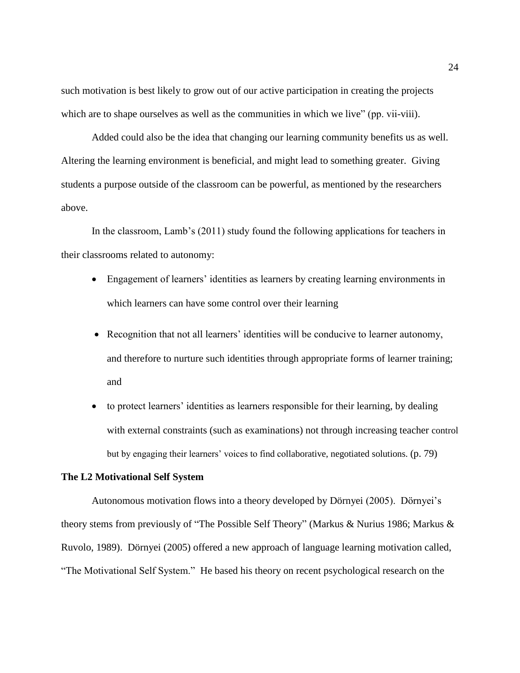such motivation is best likely to grow out of our active participation in creating the projects which are to shape ourselves as well as the communities in which we live" (pp. vii-viii).

Added could also be the idea that changing our learning community benefits us as well. Altering the learning environment is beneficial, and might lead to something greater. Giving students a purpose outside of the classroom can be powerful, as mentioned by the researchers above.

In the classroom, Lamb's (2011) study found the following applications for teachers in their classrooms related to autonomy:

- Engagement of learners' identities as learners by creating learning environments in which learners can have some control over their learning
- Recognition that not all learners' identities will be conducive to learner autonomy, and therefore to nurture such identities through appropriate forms of learner training; and
- to protect learners' identities as learners responsible for their learning, by dealing with external constraints (such as examinations) not through increasing teacher control but by engaging their learners' voices to find collaborative, negotiated solutions. (p. 79)

## **The L2 Motivational Self System**

Autonomous motivation flows into a theory developed by Dörnyei (2005). Dörnyei's theory stems from previously of "The Possible Self Theory" (Markus & Nurius 1986; Markus & Ruvolo, 1989). Dörnyei (2005) offered a new approach of language learning motivation called, "The Motivational Self System." He based his theory on recent psychological research on the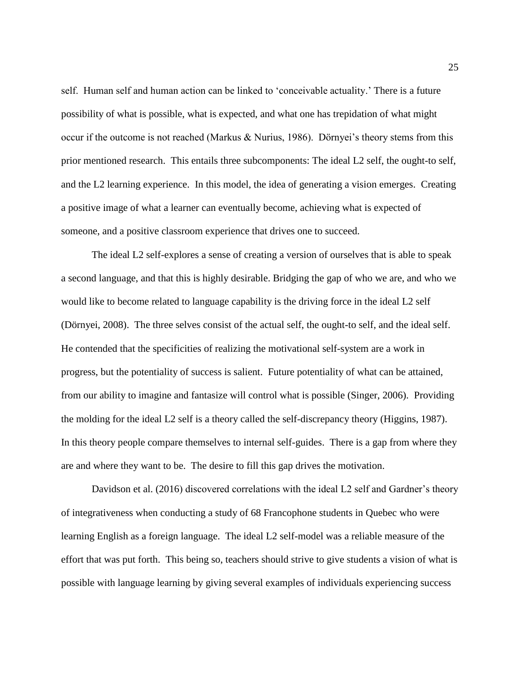self. Human self and human action can be linked to 'conceivable actuality.' There is a future possibility of what is possible, what is expected, and what one has trepidation of what might occur if the outcome is not reached (Markus & Nurius, 1986). Dörnyei's theory stems from this prior mentioned research. This entails three subcomponents: The ideal L2 self, the ought-to self, and the L2 learning experience. In this model, the idea of generating a vision emerges. Creating a positive image of what a learner can eventually become, achieving what is expected of someone, and a positive classroom experience that drives one to succeed.

The ideal L2 self-explores a sense of creating a version of ourselves that is able to speak a second language, and that this is highly desirable. Bridging the gap of who we are, and who we would like to become related to language capability is the driving force in the ideal L2 self (Dörnyei, 2008). The three selves consist of the actual self, the ought-to self, and the ideal self. He contended that the specificities of realizing the motivational self-system are a work in progress, but the potentiality of success is salient. Future potentiality of what can be attained, from our ability to imagine and fantasize will control what is possible (Singer, 2006). Providing the molding for the ideal L2 self is a theory called the self-discrepancy theory (Higgins, 1987). In this theory people compare themselves to internal self-guides. There is a gap from where they are and where they want to be. The desire to fill this gap drives the motivation.

Davidson et al. (2016) discovered correlations with the ideal L2 self and Gardner's theory of integrativeness when conducting a study of 68 Francophone students in Quebec who were learning English as a foreign language. The ideal L2 self-model was a reliable measure of the effort that was put forth. This being so, teachers should strive to give students a vision of what is possible with language learning by giving several examples of individuals experiencing success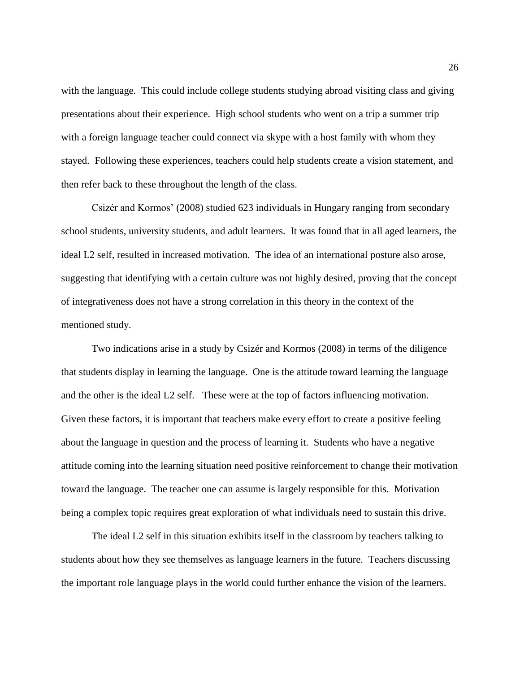with the language. This could include college students studying abroad visiting class and giving presentations about their experience. High school students who went on a trip a summer trip with a foreign language teacher could connect via skype with a host family with whom they stayed. Following these experiences, teachers could help students create a vision statement, and then refer back to these throughout the length of the class.

Csizér and Kormos' (2008) studied 623 individuals in Hungary ranging from secondary school students, university students, and adult learners. It was found that in all aged learners, the ideal L2 self, resulted in increased motivation. The idea of an international posture also arose, suggesting that identifying with a certain culture was not highly desired, proving that the concept of integrativeness does not have a strong correlation in this theory in the context of the mentioned study.

Two indications arise in a study by Csizér and Kormos (2008) in terms of the diligence that students display in learning the language. One is the attitude toward learning the language and the other is the ideal L2 self. These were at the top of factors influencing motivation. Given these factors, it is important that teachers make every effort to create a positive feeling about the language in question and the process of learning it. Students who have a negative attitude coming into the learning situation need positive reinforcement to change their motivation toward the language. The teacher one can assume is largely responsible for this. Motivation being a complex topic requires great exploration of what individuals need to sustain this drive.

The ideal L2 self in this situation exhibits itself in the classroom by teachers talking to students about how they see themselves as language learners in the future. Teachers discussing the important role language plays in the world could further enhance the vision of the learners.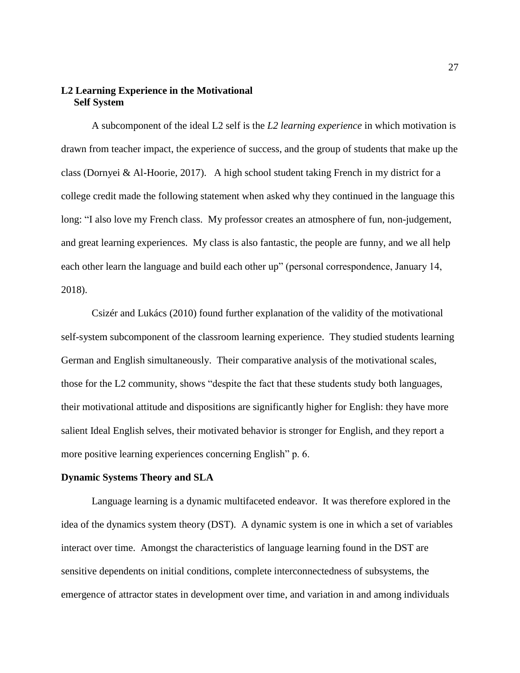# **L2 Learning Experience in the Motivational Self System**

A subcomponent of the ideal L2 self is the *L2 learning experience* in which motivation is drawn from teacher impact, the experience of success, and the group of students that make up the class (Dornyei & Al-Hoorie, 2017). A high school student taking French in my district for a college credit made the following statement when asked why they continued in the language this long: "I also love my French class. My professor creates an atmosphere of fun, non-judgement, and great learning experiences. My class is also fantastic, the people are funny, and we all help each other learn the language and build each other up" (personal correspondence, January 14, 2018).

Csizér and Lukács (2010) found further explanation of the validity of the motivational self-system subcomponent of the classroom learning experience. They studied students learning German and English simultaneously. Their comparative analysis of the motivational scales, those for the L2 community, shows "despite the fact that these students study both languages, their motivational attitude and dispositions are significantly higher for English: they have more salient Ideal English selves, their motivated behavior is stronger for English, and they report a more positive learning experiences concerning English" p. 6.

#### **Dynamic Systems Theory and SLA**

Language learning is a dynamic multifaceted endeavor. It was therefore explored in the idea of the dynamics system theory (DST). A dynamic system is one in which a set of variables interact over time. Amongst the characteristics of language learning found in the DST are sensitive dependents on initial conditions, complete interconnectedness of subsystems, the emergence of attractor states in development over time, and variation in and among individuals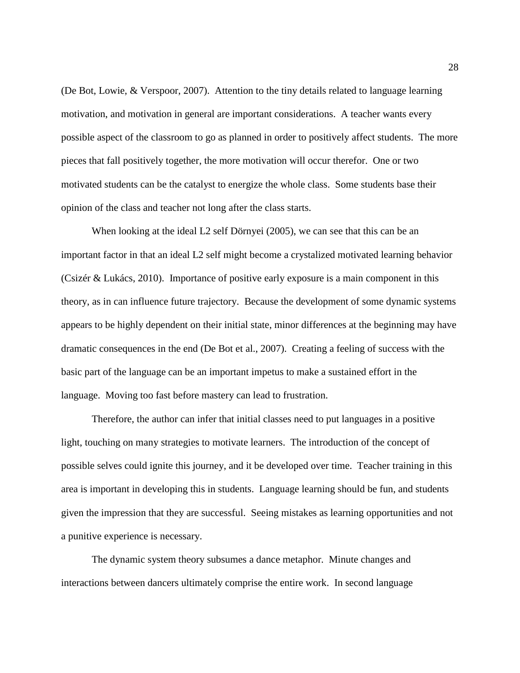(De Bot, Lowie, & Verspoor, 2007). Attention to the tiny details related to language learning motivation, and motivation in general are important considerations. A teacher wants every possible aspect of the classroom to go as planned in order to positively affect students. The more pieces that fall positively together, the more motivation will occur therefor. One or two motivated students can be the catalyst to energize the whole class. Some students base their opinion of the class and teacher not long after the class starts.

When looking at the ideal L2 self Dörnyei (2005), we can see that this can be an important factor in that an ideal L2 self might become a crystalized motivated learning behavior (Csizér & Lukács, 2010). Importance of positive early exposure is a main component in this theory, as in can influence future trajectory. Because the development of some dynamic systems appears to be highly dependent on their initial state, minor differences at the beginning may have dramatic consequences in the end (De Bot et al., 2007). Creating a feeling of success with the basic part of the language can be an important impetus to make a sustained effort in the language. Moving too fast before mastery can lead to frustration.

Therefore, the author can infer that initial classes need to put languages in a positive light, touching on many strategies to motivate learners. The introduction of the concept of possible selves could ignite this journey, and it be developed over time. Teacher training in this area is important in developing this in students. Language learning should be fun, and students given the impression that they are successful. Seeing mistakes as learning opportunities and not a punitive experience is necessary.

The dynamic system theory subsumes a dance metaphor. Minute changes and interactions between dancers ultimately comprise the entire work. In second language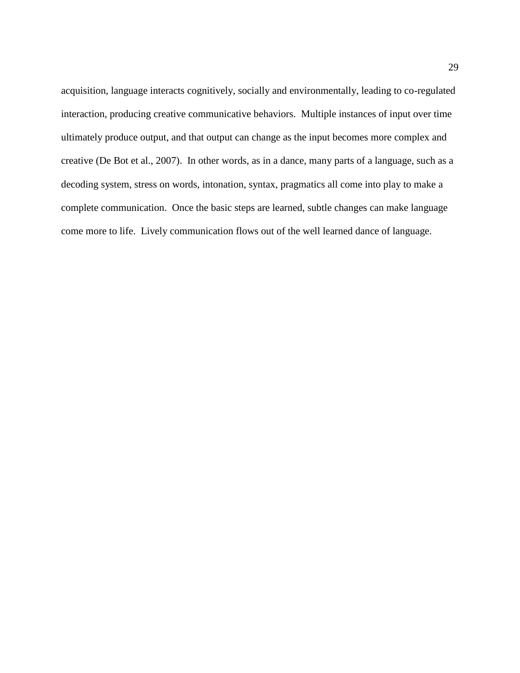acquisition, language interacts cognitively, socially and environmentally, leading to co-regulated interaction, producing creative communicative behaviors. Multiple instances of input over time ultimately produce output, and that output can change as the input becomes more complex and creative (De Bot et al., 2007). In other words, as in a dance, many parts of a language, such as a decoding system, stress on words, intonation, syntax, pragmatics all come into play to make a complete communication. Once the basic steps are learned, subtle changes can make language come more to life. Lively communication flows out of the well learned dance of language.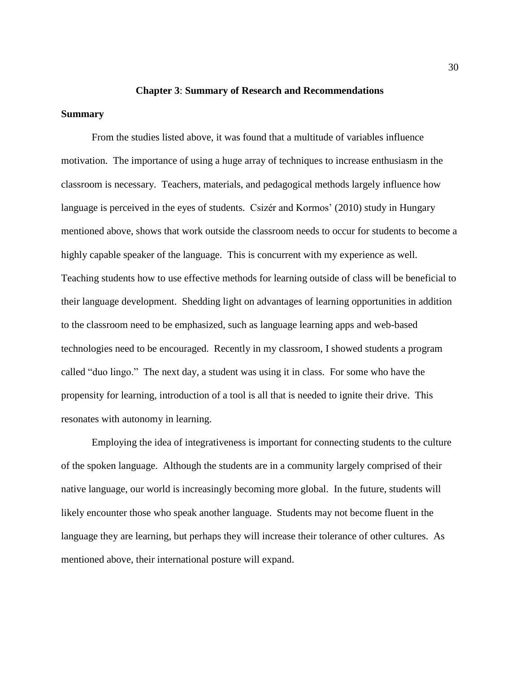#### **Chapter 3**: **Summary of Research and Recommendations**

#### **Summary**

From the studies listed above, it was found that a multitude of variables influence motivation. The importance of using a huge array of techniques to increase enthusiasm in the classroom is necessary. Teachers, materials, and pedagogical methods largely influence how language is perceived in the eyes of students. Csizér and Kormos' (2010) study in Hungary mentioned above, shows that work outside the classroom needs to occur for students to become a highly capable speaker of the language. This is concurrent with my experience as well. Teaching students how to use effective methods for learning outside of class will be beneficial to their language development. Shedding light on advantages of learning opportunities in addition to the classroom need to be emphasized, such as language learning apps and web-based technologies need to be encouraged. Recently in my classroom, I showed students a program called "duo lingo." The next day, a student was using it in class. For some who have the propensity for learning, introduction of a tool is all that is needed to ignite their drive. This resonates with autonomy in learning.

Employing the idea of integrativeness is important for connecting students to the culture of the spoken language. Although the students are in a community largely comprised of their native language, our world is increasingly becoming more global. In the future, students will likely encounter those who speak another language. Students may not become fluent in the language they are learning, but perhaps they will increase their tolerance of other cultures. As mentioned above, their international posture will expand.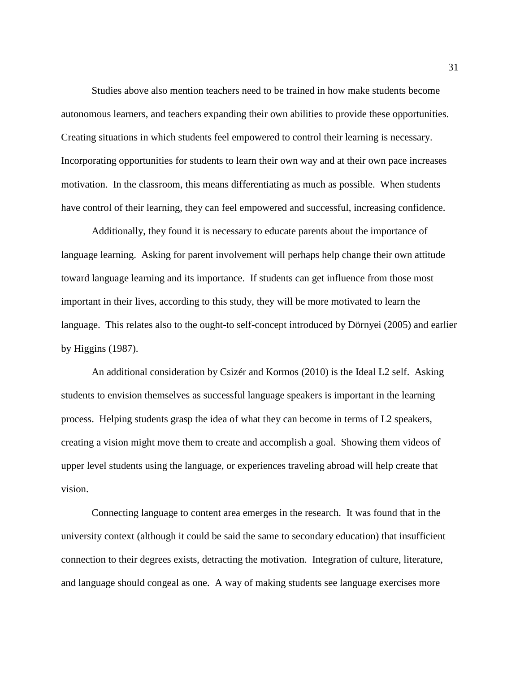Studies above also mention teachers need to be trained in how make students become autonomous learners, and teachers expanding their own abilities to provide these opportunities. Creating situations in which students feel empowered to control their learning is necessary. Incorporating opportunities for students to learn their own way and at their own pace increases motivation. In the classroom, this means differentiating as much as possible. When students have control of their learning, they can feel empowered and successful, increasing confidence.

Additionally, they found it is necessary to educate parents about the importance of language learning. Asking for parent involvement will perhaps help change their own attitude toward language learning and its importance. If students can get influence from those most important in their lives, according to this study, they will be more motivated to learn the language. This relates also to the ought-to self-concept introduced by Dörnyei (2005) and earlier by Higgins (1987).

An additional consideration by Csizér and Kormos (2010) is the Ideal L2 self. Asking students to envision themselves as successful language speakers is important in the learning process. Helping students grasp the idea of what they can become in terms of L2 speakers, creating a vision might move them to create and accomplish a goal. Showing them videos of upper level students using the language, or experiences traveling abroad will help create that vision.

Connecting language to content area emerges in the research. It was found that in the university context (although it could be said the same to secondary education) that insufficient connection to their degrees exists, detracting the motivation. Integration of culture, literature, and language should congeal as one. A way of making students see language exercises more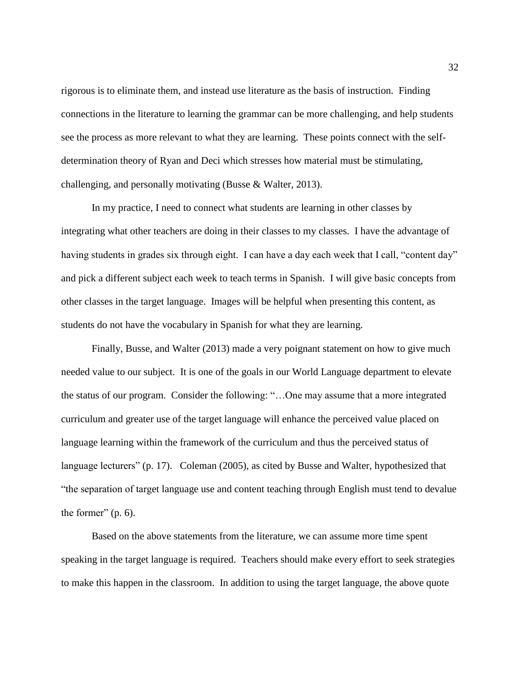rigorous is to eliminate them, and instead use literature as the basis of instruction. Finding connections in the literature to learning the grammar can be more challenging, and help students see the process as more relevant to what they are learning. These points connect with the selfdetermination theory of Ryan and Deci which stresses how material must be stimulating, challenging, and personally motivating (Busse & Walter, 2013).

In my practice, I need to connect what students are learning in other classes by integrating what other teachers are doing in their classes to my classes. I have the advantage of having students in grades six through eight. I can have a day each week that I call, "content day" and pick a different subject each week to teach terms in Spanish. I will give basic concepts from other classes in the target language. Images will be helpful when presenting this content, as students do not have the vocabulary in Spanish for what they are learning.

Finally, Busse, and Walter (2013) made a very poignant statement on how to give much needed value to our subject. It is one of the goals in our World Language department to elevate the status of our program. Consider the following: "…One may assume that a more integrated curriculum and greater use of the target language will enhance the perceived value placed on language learning within the framework of the curriculum and thus the perceived status of language lecturers" (p. 17). Coleman (2005), as cited by Busse and Walter, hypothesized that "the separation of target language use and content teaching through English must tend to devalue the former"  $(p. 6)$ .

Based on the above statements from the literature, we can assume more time spent speaking in the target language is required. Teachers should make every effort to seek strategies to make this happen in the classroom. In addition to using the target language, the above quote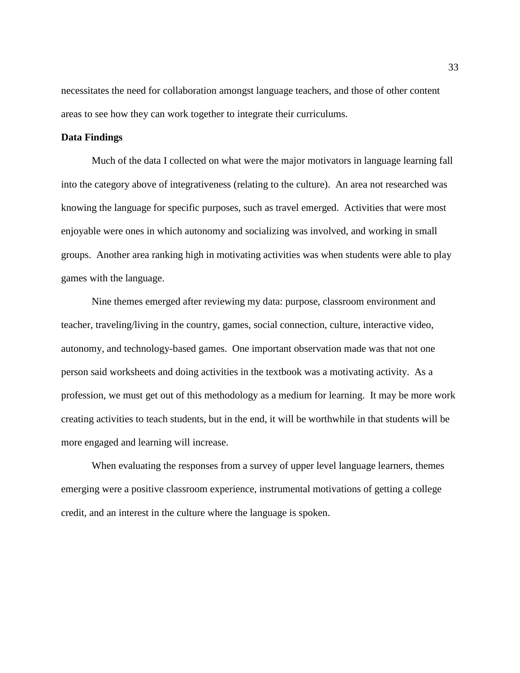necessitates the need for collaboration amongst language teachers, and those of other content areas to see how they can work together to integrate their curriculums.

#### **Data Findings**

Much of the data I collected on what were the major motivators in language learning fall into the category above of integrativeness (relating to the culture). An area not researched was knowing the language for specific purposes, such as travel emerged. Activities that were most enjoyable were ones in which autonomy and socializing was involved, and working in small groups. Another area ranking high in motivating activities was when students were able to play games with the language.

Nine themes emerged after reviewing my data: purpose, classroom environment and teacher, traveling/living in the country, games, social connection, culture, interactive video, autonomy, and technology-based games. One important observation made was that not one person said worksheets and doing activities in the textbook was a motivating activity. As a profession, we must get out of this methodology as a medium for learning. It may be more work creating activities to teach students, but in the end, it will be worthwhile in that students will be more engaged and learning will increase.

When evaluating the responses from a survey of upper level language learners, themes emerging were a positive classroom experience, instrumental motivations of getting a college credit, and an interest in the culture where the language is spoken.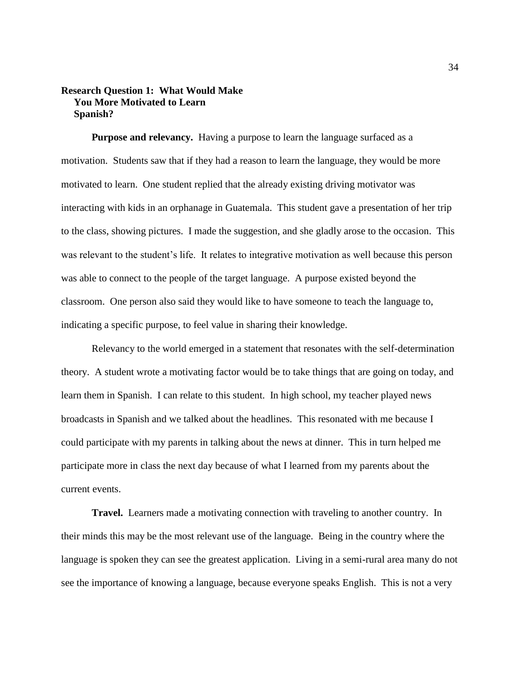# **Research Question 1: What Would Make You More Motivated to Learn Spanish?**

**Purpose and relevancy.** Having a purpose to learn the language surfaced as a motivation. Students saw that if they had a reason to learn the language, they would be more motivated to learn. One student replied that the already existing driving motivator was interacting with kids in an orphanage in Guatemala. This student gave a presentation of her trip to the class, showing pictures. I made the suggestion, and she gladly arose to the occasion. This was relevant to the student's life. It relates to integrative motivation as well because this person was able to connect to the people of the target language. A purpose existed beyond the classroom. One person also said they would like to have someone to teach the language to, indicating a specific purpose, to feel value in sharing their knowledge.

Relevancy to the world emerged in a statement that resonates with the self-determination theory. A student wrote a motivating factor would be to take things that are going on today, and learn them in Spanish. I can relate to this student. In high school, my teacher played news broadcasts in Spanish and we talked about the headlines. This resonated with me because I could participate with my parents in talking about the news at dinner. This in turn helped me participate more in class the next day because of what I learned from my parents about the current events.

**Travel.** Learners made a motivating connection with traveling to another country. In their minds this may be the most relevant use of the language. Being in the country where the language is spoken they can see the greatest application. Living in a semi-rural area many do not see the importance of knowing a language, because everyone speaks English. This is not a very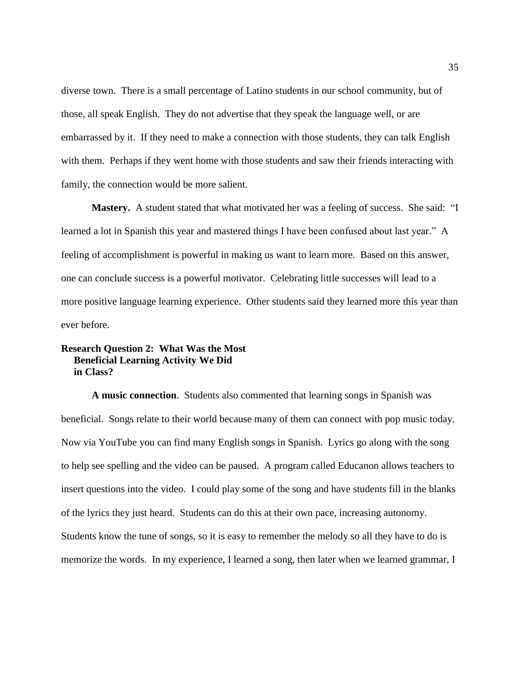diverse town. There is a small percentage of Latino students in our school community, but of those, all speak English. They do not advertise that they speak the language well, or are embarrassed by it. If they need to make a connection with those students, they can talk English with them. Perhaps if they went home with those students and saw their friends interacting with family, the connection would be more salient.

**Mastery.** A student stated that what motivated her was a feeling of success. She said: "I learned a lot in Spanish this year and mastered things I have been confused about last year." A feeling of accomplishment is powerful in making us want to learn more. Based on this answer, one can conclude success is a powerful motivator. Celebrating little successes will lead to a more positive language learning experience. Other students said they learned more this year than ever before.

# **Research Question 2: What Was the Most Beneficial Learning Activity We Did in Class?**

**A music connection**. Students also commented that learning songs in Spanish was beneficial. Songs relate to their world because many of them can connect with pop music today. Now via YouTube you can find many English songs in Spanish. Lyrics go along with the song to help see spelling and the video can be paused. A program called Educanon allows teachers to insert questions into the video. I could play some of the song and have students fill in the blanks of the lyrics they just heard. Students can do this at their own pace, increasing autonomy. Students know the tune of songs, so it is easy to remember the melody so all they have to do is memorize the words. In my experience, I learned a song, then later when we learned grammar, I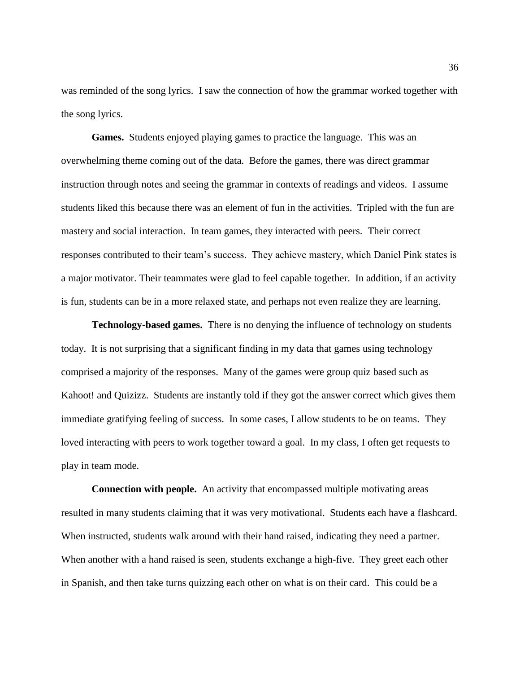was reminded of the song lyrics. I saw the connection of how the grammar worked together with the song lyrics.

**Games.** Students enjoyed playing games to practice the language. This was an overwhelming theme coming out of the data. Before the games, there was direct grammar instruction through notes and seeing the grammar in contexts of readings and videos. I assume students liked this because there was an element of fun in the activities. Tripled with the fun are mastery and social interaction. In team games, they interacted with peers. Their correct responses contributed to their team's success. They achieve mastery, which Daniel Pink states is a major motivator. Their teammates were glad to feel capable together. In addition, if an activity is fun, students can be in a more relaxed state, and perhaps not even realize they are learning.

**Technology-based games.** There is no denying the influence of technology on students today. It is not surprising that a significant finding in my data that games using technology comprised a majority of the responses. Many of the games were group quiz based such as Kahoot! and Quizizz. Students are instantly told if they got the answer correct which gives them immediate gratifying feeling of success. In some cases, I allow students to be on teams. They loved interacting with peers to work together toward a goal. In my class, I often get requests to play in team mode.

**Connection with people.** An activity that encompassed multiple motivating areas resulted in many students claiming that it was very motivational. Students each have a flashcard. When instructed, students walk around with their hand raised, indicating they need a partner. When another with a hand raised is seen, students exchange a high-five. They greet each other in Spanish, and then take turns quizzing each other on what is on their card. This could be a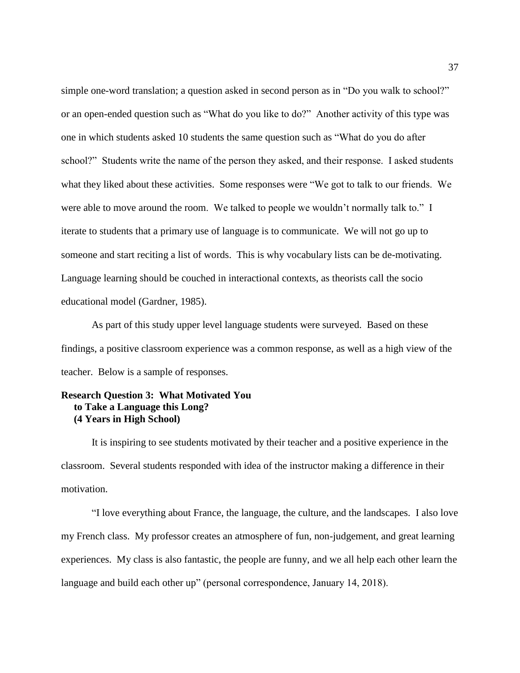simple one-word translation; a question asked in second person as in "Do you walk to school?" or an open-ended question such as "What do you like to do?" Another activity of this type was one in which students asked 10 students the same question such as "What do you do after school?" Students write the name of the person they asked, and their response. I asked students what they liked about these activities. Some responses were "We got to talk to our friends. We were able to move around the room. We talked to people we wouldn't normally talk to." I iterate to students that a primary use of language is to communicate. We will not go up to someone and start reciting a list of words. This is why vocabulary lists can be de-motivating. Language learning should be couched in interactional contexts, as theorists call the socio educational model (Gardner, 1985).

As part of this study upper level language students were surveyed. Based on these findings, a positive classroom experience was a common response, as well as a high view of the teacher. Below is a sample of responses.

# **Research Question 3: What Motivated You to Take a Language this Long? (4 Years in High School)**

It is inspiring to see students motivated by their teacher and a positive experience in the classroom. Several students responded with idea of the instructor making a difference in their motivation.

"I love everything about France, the language, the culture, and the landscapes. I also love my French class. My professor creates an atmosphere of fun, non-judgement, and great learning experiences. My class is also fantastic, the people are funny, and we all help each other learn the language and build each other up" (personal correspondence, January 14, 2018).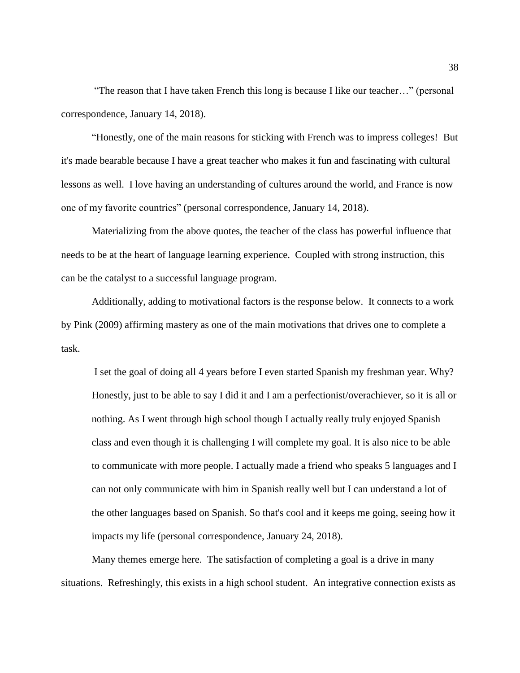"The reason that I have taken French this long is because I like our teacher…" (personal correspondence, January 14, 2018).

"Honestly, one of the main reasons for sticking with French was to impress colleges! But it's made bearable because I have a great teacher who makes it fun and fascinating with cultural lessons as well. I love having an understanding of cultures around the world, and France is now one of my favorite countries" (personal correspondence, January 14, 2018).

Materializing from the above quotes, the teacher of the class has powerful influence that needs to be at the heart of language learning experience. Coupled with strong instruction, this can be the catalyst to a successful language program.

Additionally, adding to motivational factors is the response below. It connects to a work by Pink (2009) affirming mastery as one of the main motivations that drives one to complete a task.

I set the goal of doing all 4 years before I even started Spanish my freshman year. Why? Honestly, just to be able to say I did it and I am a perfectionist/overachiever, so it is all or nothing. As I went through high school though I actually really truly enjoyed Spanish class and even though it is challenging I will complete my goal. It is also nice to be able to communicate with more people. I actually made a friend who speaks 5 languages and I can not only communicate with him in Spanish really well but I can understand a lot of the other languages based on Spanish. So that's cool and it keeps me going, seeing how it impacts my life (personal correspondence, January 24, 2018).

Many themes emerge here. The satisfaction of completing a goal is a drive in many situations. Refreshingly, this exists in a high school student. An integrative connection exists as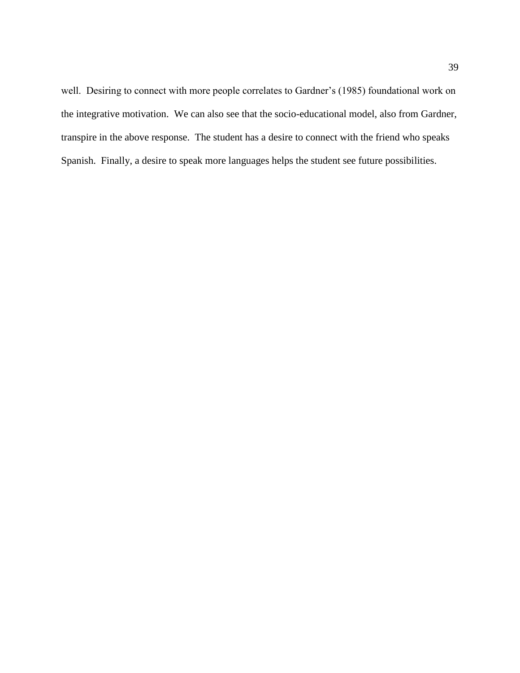well. Desiring to connect with more people correlates to Gardner's (1985) foundational work on the integrative motivation. We can also see that the socio-educational model, also from Gardner, transpire in the above response. The student has a desire to connect with the friend who speaks Spanish. Finally, a desire to speak more languages helps the student see future possibilities.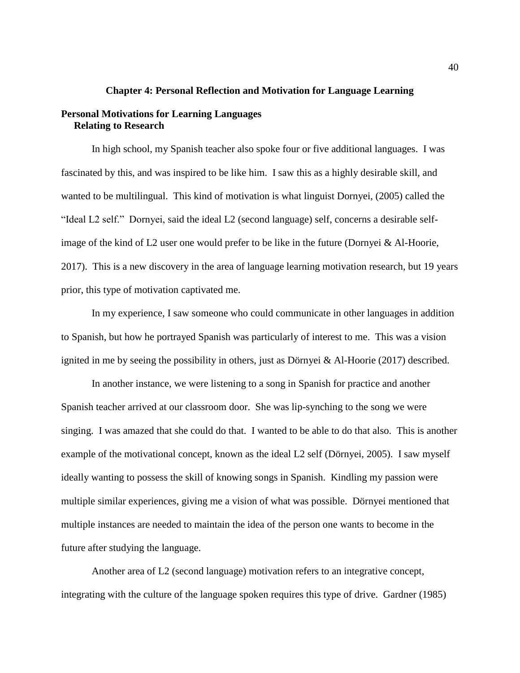#### **Chapter 4: Personal Reflection and Motivation for Language Learning**

## **Personal Motivations for Learning Languages Relating to Research**

In high school, my Spanish teacher also spoke four or five additional languages. I was fascinated by this, and was inspired to be like him. I saw this as a highly desirable skill, and wanted to be multilingual. This kind of motivation is what linguist Dornyei, (2005) called the "Ideal L2 self." Dornyei, said the ideal L2 (second language) self, concerns a desirable selfimage of the kind of L2 user one would prefer to be like in the future (Dornyei & Al-Hoorie, 2017). This is a new discovery in the area of language learning motivation research, but 19 years prior, this type of motivation captivated me.

In my experience, I saw someone who could communicate in other languages in addition to Spanish, but how he portrayed Spanish was particularly of interest to me. This was a vision ignited in me by seeing the possibility in others, just as Dörnyei & Al-Hoorie (2017) described.

In another instance, we were listening to a song in Spanish for practice and another Spanish teacher arrived at our classroom door. She was lip-synching to the song we were singing. I was amazed that she could do that. I wanted to be able to do that also. This is another example of the motivational concept, known as the ideal L2 self (Dörnyei, 2005). I saw myself ideally wanting to possess the skill of knowing songs in Spanish. Kindling my passion were multiple similar experiences, giving me a vision of what was possible. Dörnyei mentioned that multiple instances are needed to maintain the idea of the person one wants to become in the future after studying the language.

Another area of L2 (second language) motivation refers to an integrative concept, integrating with the culture of the language spoken requires this type of drive. Gardner (1985)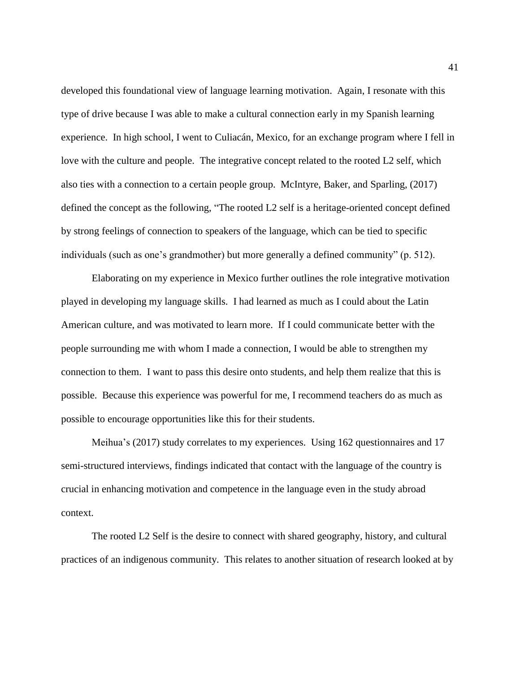developed this foundational view of language learning motivation. Again, I resonate with this type of drive because I was able to make a cultural connection early in my Spanish learning experience. In high school, I went to Culiacán, Mexico, for an exchange program where I fell in love with the culture and people. The integrative concept related to the rooted L2 self, which also ties with a connection to a certain people group. McIntyre, Baker, and Sparling, (2017) defined the concept as the following, "The rooted L2 self is a heritage-oriented concept defined by strong feelings of connection to speakers of the language, which can be tied to specific individuals (such as one's grandmother) but more generally a defined community" (p. 512).

Elaborating on my experience in Mexico further outlines the role integrative motivation played in developing my language skills. I had learned as much as I could about the Latin American culture, and was motivated to learn more. If I could communicate better with the people surrounding me with whom I made a connection, I would be able to strengthen my connection to them. I want to pass this desire onto students, and help them realize that this is possible. Because this experience was powerful for me, I recommend teachers do as much as possible to encourage opportunities like this for their students.

Meihua's (2017) study correlates to my experiences. Using 162 questionnaires and 17 semi-structured interviews, findings indicated that contact with the language of the country is crucial in enhancing motivation and competence in the language even in the study abroad context.

The rooted L2 Self is the desire to connect with shared geography, history, and cultural practices of an indigenous community. This relates to another situation of research looked at by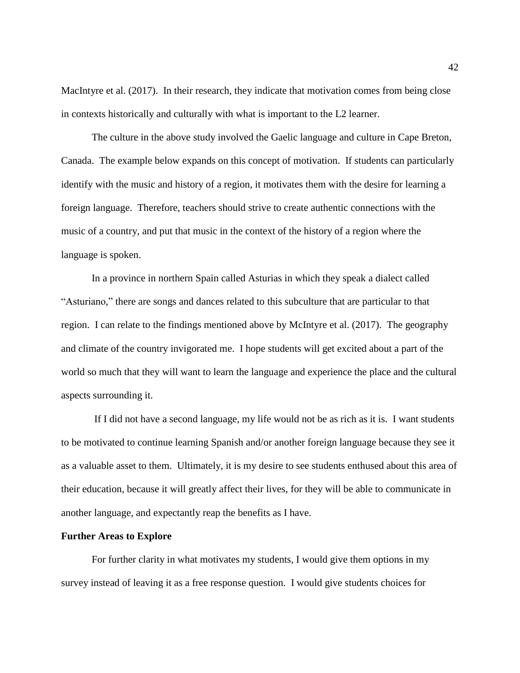MacIntyre et al. (2017). In their research, they indicate that motivation comes from being close in contexts historically and culturally with what is important to the L2 learner.

The culture in the above study involved the Gaelic language and culture in Cape Breton, Canada. The example below expands on this concept of motivation. If students can particularly identify with the music and history of a region, it motivates them with the desire for learning a foreign language. Therefore, teachers should strive to create authentic connections with the music of a country, and put that music in the context of the history of a region where the language is spoken.

In a province in northern Spain called Asturias in which they speak a dialect called "Asturiano," there are songs and dances related to this subculture that are particular to that region. I can relate to the findings mentioned above by McIntyre et al. (2017). The geography and climate of the country invigorated me. I hope students will get excited about a part of the world so much that they will want to learn the language and experience the place and the cultural aspects surrounding it.

If I did not have a second language, my life would not be as rich as it is. I want students to be motivated to continue learning Spanish and/or another foreign language because they see it as a valuable asset to them. Ultimately, it is my desire to see students enthused about this area of their education, because it will greatly affect their lives, for they will be able to communicate in another language, and expectantly reap the benefits as I have.

#### **Further Areas to Explore**

For further clarity in what motivates my students, I would give them options in my survey instead of leaving it as a free response question. I would give students choices for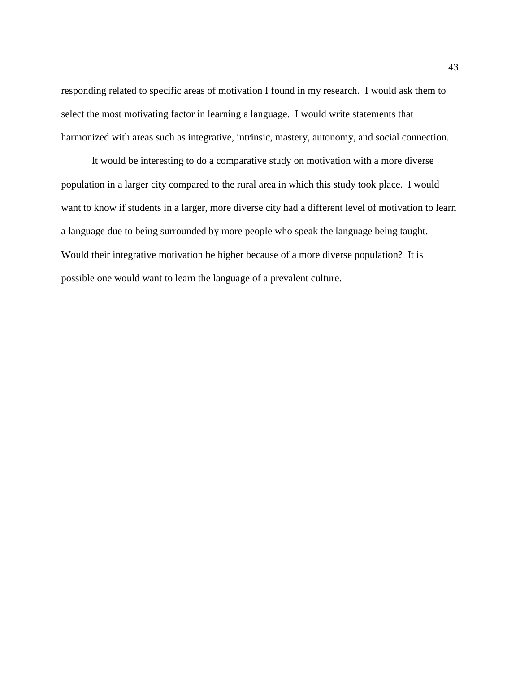responding related to specific areas of motivation I found in my research. I would ask them to select the most motivating factor in learning a language. I would write statements that harmonized with areas such as integrative, intrinsic, mastery, autonomy, and social connection.

It would be interesting to do a comparative study on motivation with a more diverse population in a larger city compared to the rural area in which this study took place. I would want to know if students in a larger, more diverse city had a different level of motivation to learn a language due to being surrounded by more people who speak the language being taught. Would their integrative motivation be higher because of a more diverse population? It is possible one would want to learn the language of a prevalent culture.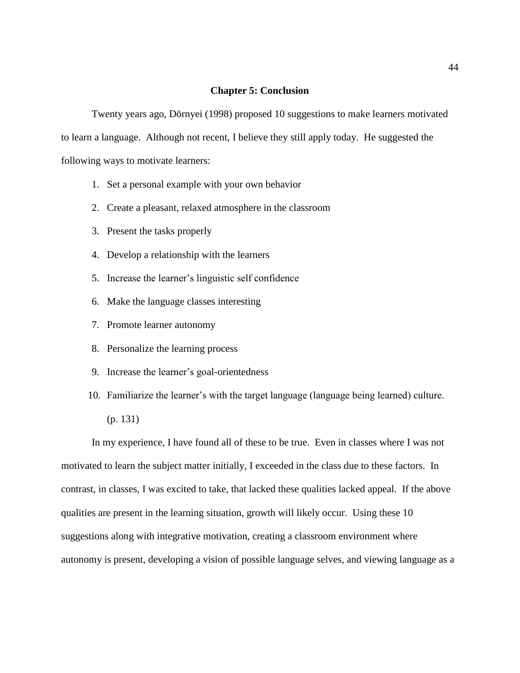#### **Chapter 5: Conclusion**

Twenty years ago, Dörnyei (1998) proposed 10 suggestions to make learners motivated to learn a language. Although not recent, I believe they still apply today. He suggested the following ways to motivate learners:

- 1. Set a personal example with your own behavior
- 2. Create a pleasant, relaxed atmosphere in the classroom
- 3. Present the tasks properly
- 4. Develop a relationship with the learners
- 5. Increase the learner's linguistic self confidence
- 6. Make the language classes interesting
- 7. Promote learner autonomy
- 8. Personalize the learning process
- 9. Increase the learner's goal-orientedness
- 10. Familiarize the learner's with the target language (language being learned) culture. (p. 131)

In my experience, I have found all of these to be true. Even in classes where I was not motivated to learn the subject matter initially, I exceeded in the class due to these factors. In contrast, in classes, I was excited to take, that lacked these qualities lacked appeal. If the above qualities are present in the learning situation, growth will likely occur. Using these 10 suggestions along with integrative motivation, creating a classroom environment where autonomy is present, developing a vision of possible language selves, and viewing language as a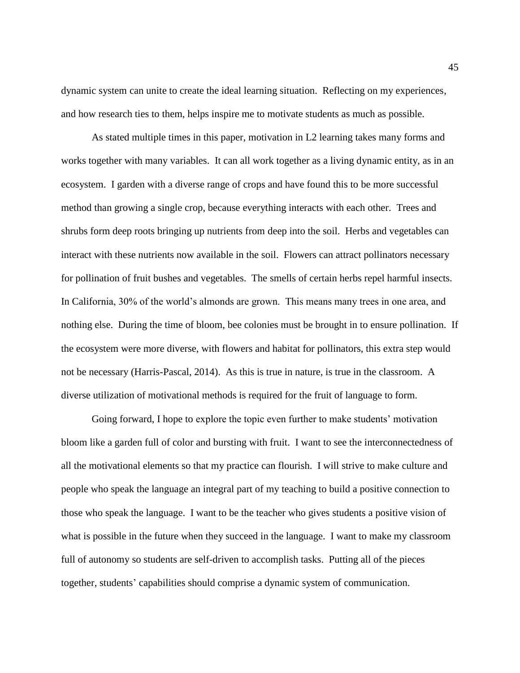dynamic system can unite to create the ideal learning situation. Reflecting on my experiences, and how research ties to them, helps inspire me to motivate students as much as possible.

As stated multiple times in this paper, motivation in L2 learning takes many forms and works together with many variables. It can all work together as a living dynamic entity, as in an ecosystem. I garden with a diverse range of crops and have found this to be more successful method than growing a single crop, because everything interacts with each other. Trees and shrubs form deep roots bringing up nutrients from deep into the soil. Herbs and vegetables can interact with these nutrients now available in the soil. Flowers can attract pollinators necessary for pollination of fruit bushes and vegetables. The smells of certain herbs repel harmful insects. In California, 30% of the world's almonds are grown. This means many trees in one area, and nothing else. During the time of bloom, bee colonies must be brought in to ensure pollination. If the ecosystem were more diverse, with flowers and habitat for pollinators, this extra step would not be necessary (Harris-Pascal, 2014). As this is true in nature, is true in the classroom. A diverse utilization of motivational methods is required for the fruit of language to form.

Going forward, I hope to explore the topic even further to make students' motivation bloom like a garden full of color and bursting with fruit. I want to see the interconnectedness of all the motivational elements so that my practice can flourish. I will strive to make culture and people who speak the language an integral part of my teaching to build a positive connection to those who speak the language. I want to be the teacher who gives students a positive vision of what is possible in the future when they succeed in the language. I want to make my classroom full of autonomy so students are self-driven to accomplish tasks. Putting all of the pieces together, students' capabilities should comprise a dynamic system of communication.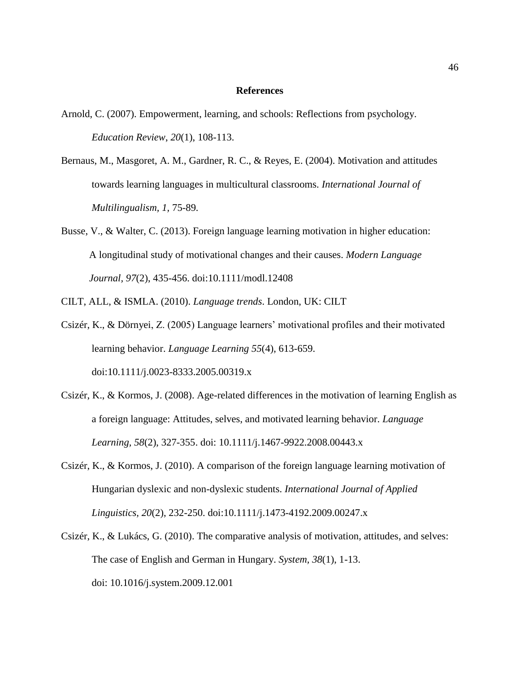#### **References**

- Arnold, C. (2007). Empowerment, learning, and schools: Reflections from psychology. *Education Review*, *20*(1), 108-113.
- Bernaus, M., Masgoret, A. M., Gardner, R. C., & Reyes, E. (2004). Motivation and attitudes towards learning languages in multicultural classrooms. *International Journal of Multilingualism, 1,* 75-89.
- Busse, V., & Walter, C. (2013). Foreign language learning motivation in higher education: A longitudinal study of motivational changes and their causes. *Modern Language Journal, 97*(2), 435-456. doi:10.1111/modl.12408
- CILT, ALL, & ISMLA. (2010). *Language trends*. London, UK: CILT
- Csizér, K., & Dörnyei, Z. (2005) Language learners' motivational profiles and their motivated learning behavior. *Language Learning 55*(4), 613-659. doi:10.1111/j.0023-8333.2005.00319.x
- Csizér, K., & Kormos, J. (2008). Age-related differences in the motivation of learning English as a foreign language: Attitudes, selves, and motivated learning behavior. *Language Learning, 58*(2), 327-355. doi: 10.1111/j.1467-9922.2008.00443.x
- Csizér, K., & Kormos, J. (2010). A comparison of the foreign language learning motivation of Hungarian dyslexic and non-dyslexic students. *International Journal of Applied Linguistics, 20*(2), 232-250. doi:10.1111/j.1473-4192.2009.00247.x
- Csizér, K., & Lukács, G. (2010). The comparative analysis of motivation, attitudes, and selves: The case of English and German in Hungary. *System, 38*(1), 1-13. doi: 10.1016/j.system.2009.12.001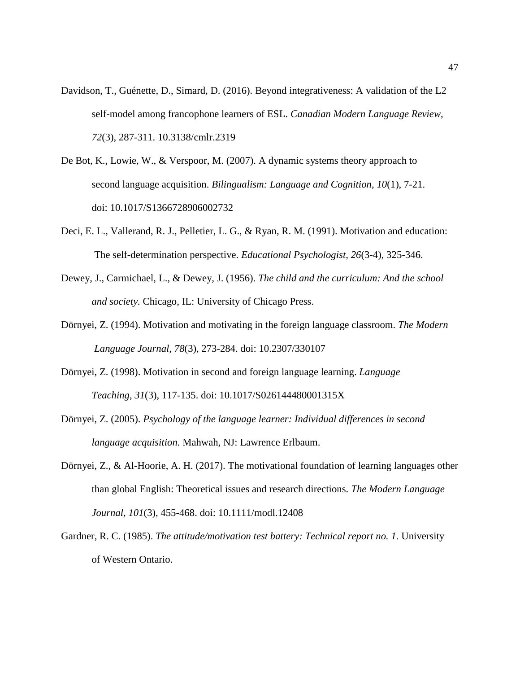- Davidson, T., Guénette, D., Simard, D. (2016). Beyond integrativeness: A validation of the L2 self-model among francophone learners of ESL. *Canadian Modern Language Review, 72*(3), 287-311. 10.3138/cmlr.2319
- De Bot, K., Lowie, W., & Verspoor, M. (2007). A dynamic systems theory approach to second language acquisition. *Bilingualism: Language and Cognition, 10*(1), 7-21. doi: 10.1017/S1366728906002732
- Deci, E. L., Vallerand, R. J., Pelletier, L. G., & Ryan, R. M. (1991). Motivation and education: The self-determination perspective. *Educational Psychologist, 26*(3-4), 325-346.
- Dewey, J., Carmichael, L., & Dewey, J. (1956). *The child and the curriculum: And the school and society.* Chicago, IL: University of Chicago Press.
- Dörnyei, Z. (1994). Motivation and motivating in the foreign language classroom. *The Modern Language Journal, 78*(3), 273-284. doi: 10.2307/330107
- Dörnyei, Z. (1998). Motivation in second and foreign language learning. *Language Teaching, 31*(3), 117-135. doi: 10.1017/S026144480001315X
- Dörnyei, Z. (2005). *Psychology of the language learner: Individual differences in second language acquisition.* Mahwah, NJ: Lawrence Erlbaum.
- Dörnyei, Z., & Al-Hoorie, A. H. (2017). The motivational foundation of learning languages other than global English: Theoretical issues and research directions. *The Modern Language Journal, 101*(3), 455-468. doi: 10.1111/modl.12408
- Gardner, R. C. (1985). *The attitude/motivation test battery: Technical report no. 1.* University of Western Ontario.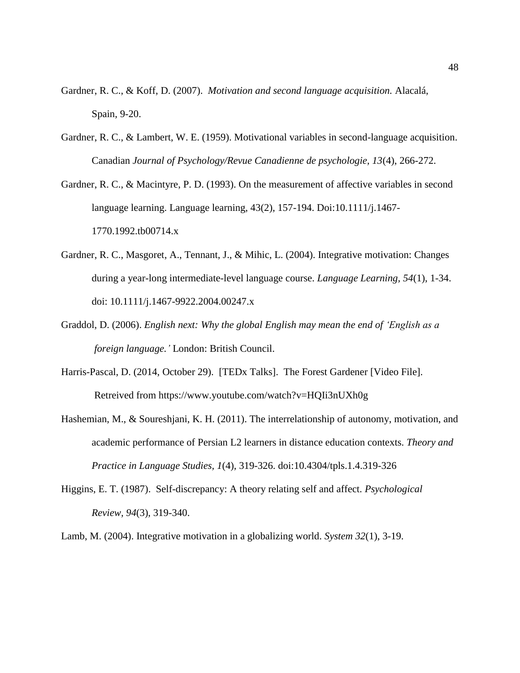- Gardner, R. C., & Koff, D. (2007). *Motivation and second language acquisition.* Alacalá, Spain, 9-20.
- Gardner, R. C., & Lambert, W. E. (1959). Motivational variables in second-language acquisition. Canadian *Journal of Psychology/Revue Canadienne de psychologie, 13*(4), 266-272.
- Gardner, R. C., & Macintyre, P. D. (1993). On the measurement of affective variables in second language learning. Language learning, 43(2), 157-194. Doi:10.1111/j.1467- 1770.1992.tb00714.x
- Gardner, R. C., Masgoret, A., Tennant, J., & Mihic, L. (2004). Integrative motivation: Changes during a year-long intermediate-level language course. *Language Learning, 54*(1), 1-34. doi: 10.1111/j.1467-9922.2004.00247.x
- Graddol, D. (2006). *English next: Why the global English may mean the end of 'English as a foreign language.'* London: British Council.
- Harris-Pascal, D. (2014, October 29). [TEDx Talks]. The Forest Gardener [Video File]. Retreived from<https://www.youtube.com/watch?v=HQIi3nUXh0g>
- Hashemian, M., & Soureshjani, K. H. (2011). The interrelationship of autonomy, motivation, and academic performance of Persian L2 learners in distance education contexts. *Theory and Practice in Language Studies, 1*(4), 319-326. doi:10.4304/tpls.1.4.319-326
- Higgins, E. T. (1987). Self-discrepancy: A theory relating self and affect. *Psychological Review, 94*(3), 319-340.

Lamb, M. (2004). Integrative motivation in a globalizing world. *System 32*(1), 3-19.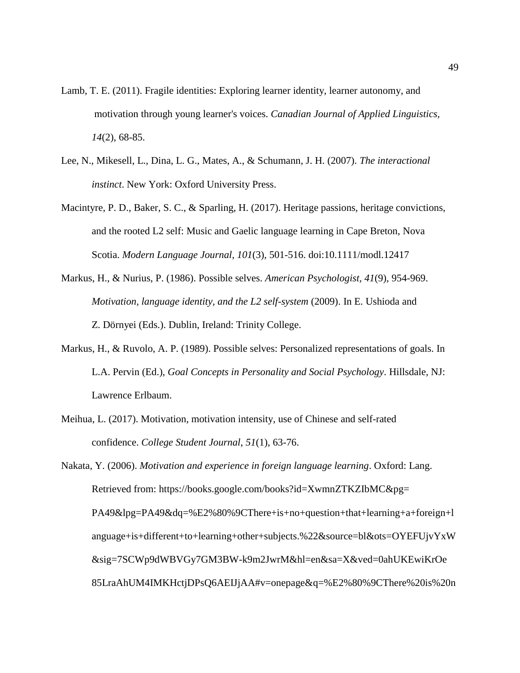- Lamb, T. E. (2011). Fragile identities: Exploring learner identity, learner autonomy, and motivation through young learner's voices. *Canadian Journal of Applied Linguistics, 14*(2), 68-85.
- Lee, N., Mikesell, L., Dina, L. G., Mates, A., & Schumann, J. H. (2007). *The interactional instinct*. New York: Oxford University Press.
- Macintyre, P. D., Baker, S. C., & Sparling, H. (2017). Heritage passions, heritage convictions, and the rooted L2 self: Music and Gaelic language learning in Cape Breton, Nova Scotia. *Modern Language Journal*, *101*(3), 501-516. doi:10.1111/modl.12417
- Markus, H., & Nurius, P. (1986). Possible selves. *American Psychologist, 41*(9), 954-969. *Motivation, language identity, and the L2 self-system* (2009). In E. Ushioda and Z. Dörnyei (Eds.). Dublin, Ireland: Trinity College.
- Markus, H., & Ruvolo, A. P. (1989). Possible selves: Personalized representations of goals. In L.A. Pervin (Ed.), *Goal Concepts in Personality and Social Psychology*. Hillsdale, NJ: Lawrence Erlbaum.
- Meihua, L. (2017). Motivation, motivation intensity, use of Chinese and self-rated confidence. *College Student Journal*, *51*(1), 63-76.

Nakata, Y. (2006). *Motivation and experience in foreign language learning*. Oxford: Lang. Retrieved from: [https://books.google.com/books?id=XwmnZTKZIbMC&pg=](https://books.google.com/books?id=XwmnZTKZIbMC&pg=%20PA49&lpg=PA49&dq=%E2%80%9CThere+is+no+question+that+learning+a+foreign+language+is+different+to+learning+other+subjects.%22&source=bl&ots=OYEFUjvYxW&sig=7SCWp9dWBVGy7GM3BW-k9m2JwrM&hl=en&sa=X&ved=0ahUKEwiKrOe%2085LraAhUM4IMKHctjDPsQ6AEIJjAA#v=onepage&q=%E2%80%9CThere%20is%20no%20question%20that%20learning%20a%20foreign%20language%20is%20different%20to%20learning%20other%20subjects.%22&f=false)  [PA49&lpg=PA49&dq=%E2%80%9CThere+is+no+question+that+learning+a+foreign+l](https://books.google.com/books?id=XwmnZTKZIbMC&pg=%20PA49&lpg=PA49&dq=%E2%80%9CThere+is+no+question+that+learning+a+foreign+language+is+different+to+learning+other+subjects.%22&source=bl&ots=OYEFUjvYxW&sig=7SCWp9dWBVGy7GM3BW-k9m2JwrM&hl=en&sa=X&ved=0ahUKEwiKrOe%2085LraAhUM4IMKHctjDPsQ6AEIJjAA#v=onepage&q=%E2%80%9CThere%20is%20no%20question%20that%20learning%20a%20foreign%20language%20is%20different%20to%20learning%20other%20subjects.%22&f=false) [anguage+is+different+to+learning+other+subjects.%22&source=bl&ots=OYEFUjvYxW](https://books.google.com/books?id=XwmnZTKZIbMC&pg=%20PA49&lpg=PA49&dq=%E2%80%9CThere+is+no+question+that+learning+a+foreign+language+is+different+to+learning+other+subjects.%22&source=bl&ots=OYEFUjvYxW&sig=7SCWp9dWBVGy7GM3BW-k9m2JwrM&hl=en&sa=X&ved=0ahUKEwiKrOe%2085LraAhUM4IMKHctjDPsQ6AEIJjAA#v=onepage&q=%E2%80%9CThere%20is%20no%20question%20that%20learning%20a%20foreign%20language%20is%20different%20to%20learning%20other%20subjects.%22&f=false) [&sig=7SCWp9dWBVGy7GM3BW-k9m2JwrM&hl=en&sa=X&ved=0ahUKEwiKrOe](https://books.google.com/books?id=XwmnZTKZIbMC&pg=%20PA49&lpg=PA49&dq=%E2%80%9CThere+is+no+question+that+learning+a+foreign+language+is+different+to+learning+other+subjects.%22&source=bl&ots=OYEFUjvYxW&sig=7SCWp9dWBVGy7GM3BW-k9m2JwrM&hl=en&sa=X&ved=0ahUKEwiKrOe%2085LraAhUM4IMKHctjDPsQ6AEIJjAA#v=onepage&q=%E2%80%9CThere%20is%20no%20question%20that%20learning%20a%20foreign%20language%20is%20different%20to%20learning%20other%20subjects.%22&f=false)  [85LraAhUM4IMKHctjDPsQ6AEIJjAA#v=onepage&q=%E2%80%9CThere%20is%20n](https://books.google.com/books?id=XwmnZTKZIbMC&pg=%20PA49&lpg=PA49&dq=%E2%80%9CThere+is+no+question+that+learning+a+foreign+language+is+different+to+learning+other+subjects.%22&source=bl&ots=OYEFUjvYxW&sig=7SCWp9dWBVGy7GM3BW-k9m2JwrM&hl=en&sa=X&ved=0ahUKEwiKrOe%2085LraAhUM4IMKHctjDPsQ6AEIJjAA#v=onepage&q=%E2%80%9CThere%20is%20no%20question%20that%20learning%20a%20foreign%20language%20is%20different%20to%20learning%20other%20subjects.%22&f=false)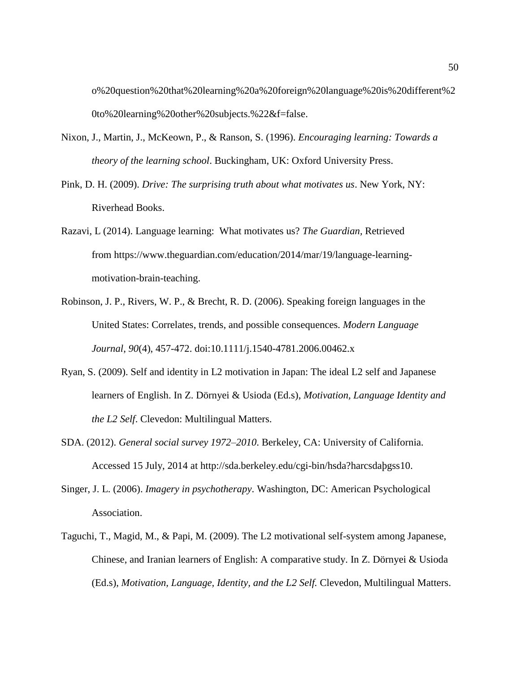[o%20question%20that%20learning%20a%20foreign%20language%20is%20different%2](https://books.google.com/books?id=XwmnZTKZIbMC&pg=%20PA49&lpg=PA49&dq=%E2%80%9CThere+is+no+question+that+learning+a+foreign+language+is+different+to+learning+other+subjects.%22&source=bl&ots=OYEFUjvYxW&sig=7SCWp9dWBVGy7GM3BW-k9m2JwrM&hl=en&sa=X&ved=0ahUKEwiKrOe%2085LraAhUM4IMKHctjDPsQ6AEIJjAA#v=onepage&q=%E2%80%9CThere%20is%20no%20question%20that%20learning%20a%20foreign%20language%20is%20different%20to%20learning%20other%20subjects.%22&f=false) [0to%20learning%20other%20subjects.%22&f=false.](https://books.google.com/books?id=XwmnZTKZIbMC&pg=%20PA49&lpg=PA49&dq=%E2%80%9CThere+is+no+question+that+learning+a+foreign+language+is+different+to+learning+other+subjects.%22&source=bl&ots=OYEFUjvYxW&sig=7SCWp9dWBVGy7GM3BW-k9m2JwrM&hl=en&sa=X&ved=0ahUKEwiKrOe%2085LraAhUM4IMKHctjDPsQ6AEIJjAA#v=onepage&q=%E2%80%9CThere%20is%20no%20question%20that%20learning%20a%20foreign%20language%20is%20different%20to%20learning%20other%20subjects.%22&f=false)

- Nixon, J., Martin, J., McKeown, P., & Ranson, S. (1996). *Encouraging learning: Towards a theory of the learning school*. Buckingham, UK: Oxford University Press.
- Pink, D. H. (2009). *Drive: The surprising truth about what motivates us*. New York, NY: Riverhead Books.
- Razavi, L (2014). Language learning: What motivates us? *The Guardian,* Retrieved from [https://www.theguardian.com/education/2014/mar/19/language-learning](https://www.theguardian.com/education/2014/mar/19/language-learning-motivation-brain-teaching)[motivation-brain-teaching.](https://www.theguardian.com/education/2014/mar/19/language-learning-motivation-brain-teaching)
- Robinson, J. P., Rivers, W. P., & Brecht, R. D. (2006). Speaking foreign languages in the United States: Correlates, trends, and possible consequences. *Modern Language Journal*, *90*(4), 457-472. doi:10.1111/j.1540-4781.2006.00462.x
- Ryan, S. (2009). Self and identity in L2 motivation in Japan: The ideal L2 self and Japanese learners of English. In Z. Dörnyei & Usioda (Ed.s), *Motivation, Language Identity and the L2 Self*. Clevedon: Multilingual Matters.
- SDA. (2012). *General social survey 1972–2010*. Berkeley, CA: University of California. Accessed 15 July, 2014 at http://sda.berkeley.edu/cgi-bin/hsda?harcsdaþgss10.
- Singer, J. L. (2006). *Imagery in psychotherapy*. Washington, DC: American Psychological Association.
- Taguchi, T., Magid, M., & Papi, M. (2009). The L2 motivational self-system among Japanese, Chinese, and Iranian learners of English: A comparative study. In Z. Dörnyei & Usioda (Ed.s), *Motivation, Language, Identity, and the L2 Self.* Clevedon, Multilingual Matters.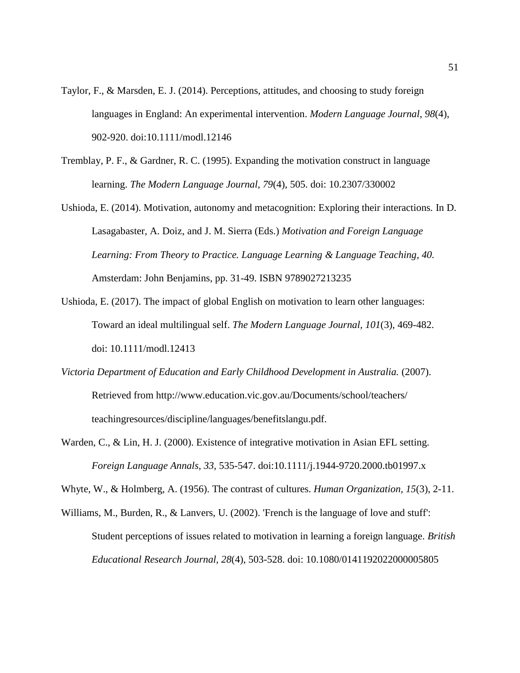- Taylor, F., & Marsden, E. J. (2014). Perceptions, attitudes, and choosing to study foreign languages in England: An experimental intervention. *Modern Language Journal*, *98*(4), 902-920. doi:10.1111/modl.12146
- Tremblay, P. F., & Gardner, R. C. (1995). Expanding the motivation construct in language learning. *The Modern Language Journal, 79*(4), 505. doi: 10.2307/330002
- Ushioda, E. (2014). Motivation, autonomy and metacognition: Exploring their interactions*.* In D. Lasagabaster, A. Doiz, and J. M. Sierra (Eds.) *Motivation and Foreign Language Learning: From Theory to Practice. Language Learning & Language Teaching, 40.* Amsterdam: John Benjamins, pp. 31-49. ISBN 9789027213235
- Ushioda, E. (2017). The impact of global English on motivation to learn other languages: Toward an ideal multilingual self. *The Modern Language Journal, 101*(3), 469-482. doi: 10.1111/modl.12413
- *Victoria Department of Education and Early Childhood Development in Australia.* (2007). Retrieved from<http://www.education.vic.gov.au/Documents/school/teachers/> teachingresources/discipline/languages/benefitslangu.pdf.
- Warden, C., & Lin, H. J. (2000). Existence of integrative motivation in Asian EFL setting. *Foreign Language Annals, 33,* 535-547. doi:10.1111/j.1944-9720.2000.tb01997.x
- Whyte, W., & Holmberg, A. (1956). The contrast of cultures. *Human Organization, 15*(3), 2-11.
- Williams, M., Burden, R., & Lanvers, U. (2002). 'French is the language of love and stuff': Student perceptions of issues related to motivation in learning a foreign language. *British Educational Research Journal, 28*(4), 503-528. doi: 10.1080/0141192022000005805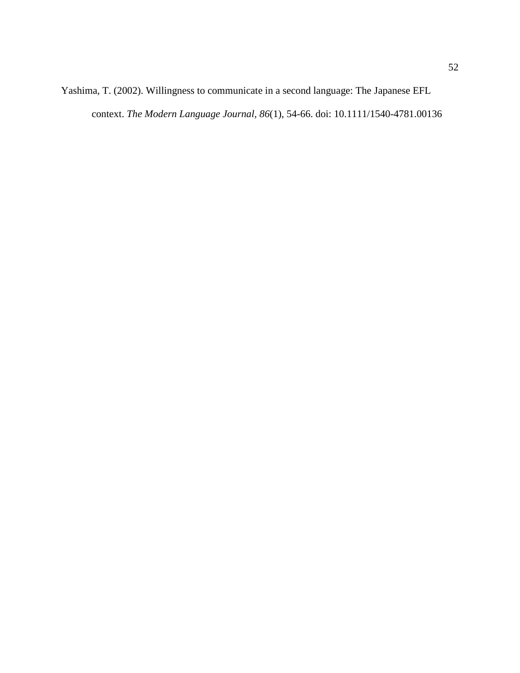Yashima, T. (2002). Willingness to communicate in a second language: The Japanese EFL context. *The Modern Language Journal, 86*(1), 54-66. doi: 10.1111/1540-4781.00136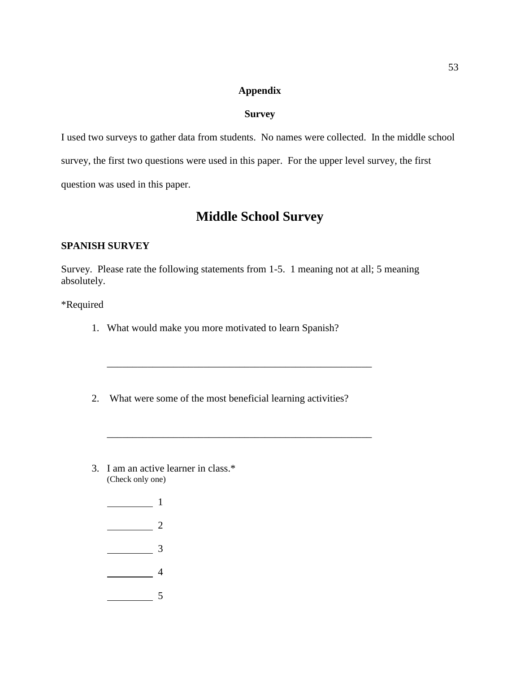## **Appendix**

# **Survey**

I used two surveys to gather data from students. No names were collected. In the middle school survey, the first two questions were used in this paper. For the upper level survey, the first question was used in this paper.

# **Middle School Survey**

# **SPANISH SURVEY**

Survey. Please rate the following statements from 1-5. 1 meaning not at all; 5 meaning absolutely.

\_\_\_\_\_\_\_\_\_\_\_\_\_\_\_\_\_\_\_\_\_\_\_\_\_\_\_\_\_\_\_\_\_\_\_\_\_\_\_\_\_\_\_\_\_\_\_\_\_\_\_\_

\_\_\_\_\_\_\_\_\_\_\_\_\_\_\_\_\_\_\_\_\_\_\_\_\_\_\_\_\_\_\_\_\_\_\_\_\_\_\_\_\_\_\_\_\_\_\_\_\_\_\_\_

# \*Required

- 1. What would make you more motivated to learn Spanish?
- 2. What were some of the most beneficial learning activities?
- 3. I am an active learner in class.\* (Check only one)
	- <u>\_\_\_\_\_\_\_\_\_\_\_\_</u> 1  $\frac{1}{2}$  $\frac{1}{\sqrt{3}}$  $\frac{1}{4}$ 5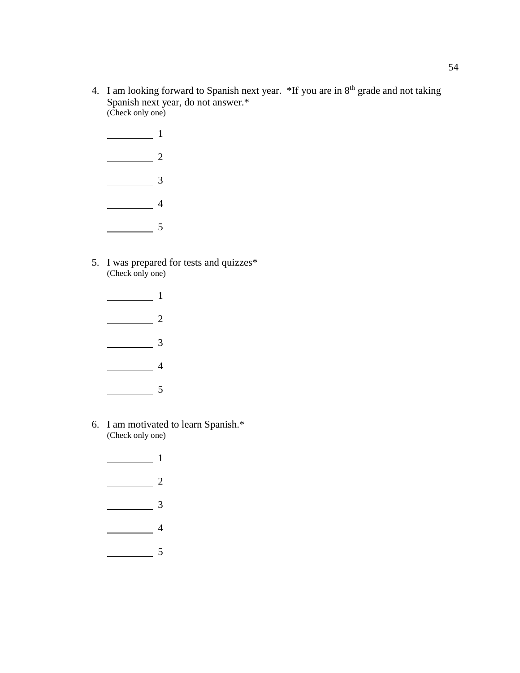- 4. I am looking forward to Spanish next year. \*If you are in 8<sup>th</sup> grade and not taking Spanish next year, do not answer.\* (Check only one)
	- <u>1</u>  $\frac{1}{2}$  $\frac{1}{\sqrt{3}}$  $\frac{1}{2}$  4 5
- 5. I was prepared for tests and quizzes\* (Check only one)
	- <u>1</u>  $\frac{1}{2}$  $\frac{1}{\sqrt{3}}$  $\frac{1}{2}$  4  $\frac{1}{\sqrt{2}}$  5
- 6. I am motivated to learn Spanish.\* (Check only one)
	- 1  $\frac{1}{2}$  $\frac{1}{\sqrt{3}}$  $\frac{1}{\sqrt{1-\frac{1}{2}}}\left(1-\frac{1}{2}\right)$ 5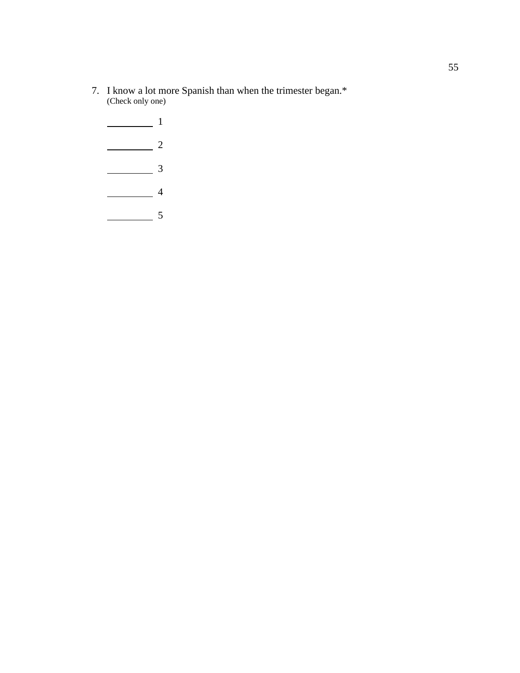- 7. I know a lot more Spanish than when the trimester began.\* (Check only one)
	- $\frac{1}{\sqrt{1-\frac{1}{2}}}\left| \frac{1}{2}\right|$  $\frac{1}{2}$  $\frac{1}{\sqrt{3}}$  $\frac{1}{4}$  $\frac{1}{\sqrt{2}}$  5